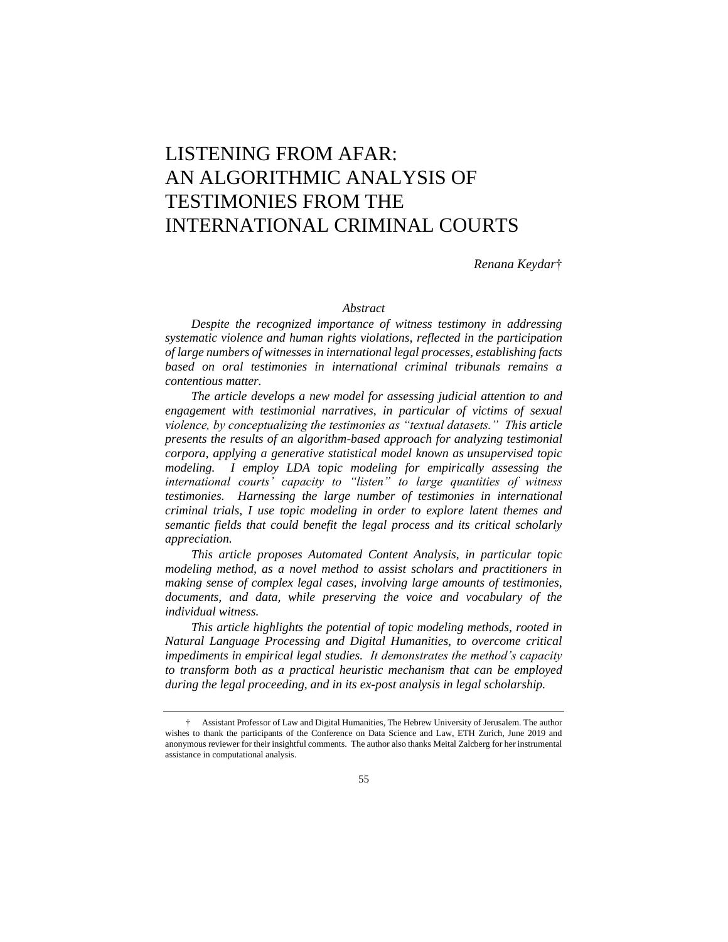# LISTENING FROM AFAR: AN ALGORITHMIC ANALYSIS OF TESTIMONIES FROM THE INTERNATIONAL CRIMINAL COURTS

*Renana Keydar*†

## *Abstract*

*Despite the recognized importance of witness testimony in addressing systematic violence and human rights violations, reflected in the participation of large numbers of witnesses in international legal processes, establishing facts based on oral testimonies in international criminal tribunals remains a contentious matter.*

*The article develops a new model for assessing judicial attention to and engagement with testimonial narratives, in particular of victims of sexual violence, by conceptualizing the testimonies as "textual datasets." This article presents the results of an algorithm-based approach for analyzing testimonial corpora, applying a generative statistical model known as unsupervised topic modeling. I employ LDA topic modeling for empirically assessing the international courts' capacity to "listen" to large quantities of witness testimonies. Harnessing the large number of testimonies in international criminal trials, I use topic modeling in order to explore latent themes and semantic fields that could benefit the legal process and its critical scholarly appreciation.*

*This article proposes Automated Content Analysis, in particular topic modeling method, as a novel method to assist scholars and practitioners in making sense of complex legal cases, involving large amounts of testimonies, documents, and data, while preserving the voice and vocabulary of the individual witness.*

*This article highlights the potential of topic modeling methods, rooted in Natural Language Processing and Digital Humanities, to overcome critical impediments in empirical legal studies. It demonstrates the method's capacity to transform both as a practical heuristic mechanism that can be employed during the legal proceeding, and in its ex-post analysis in legal scholarship.*

<sup>†</sup> Assistant Professor of Law and Digital Humanities, The Hebrew University of Jerusalem. The author wishes to thank the participants of the Conference on Data Science and Law, ETH Zurich, June 2019 and anonymous reviewer for their insightful comments. The author also thanks Meital Zalcberg for her instrumental assistance in computational analysis.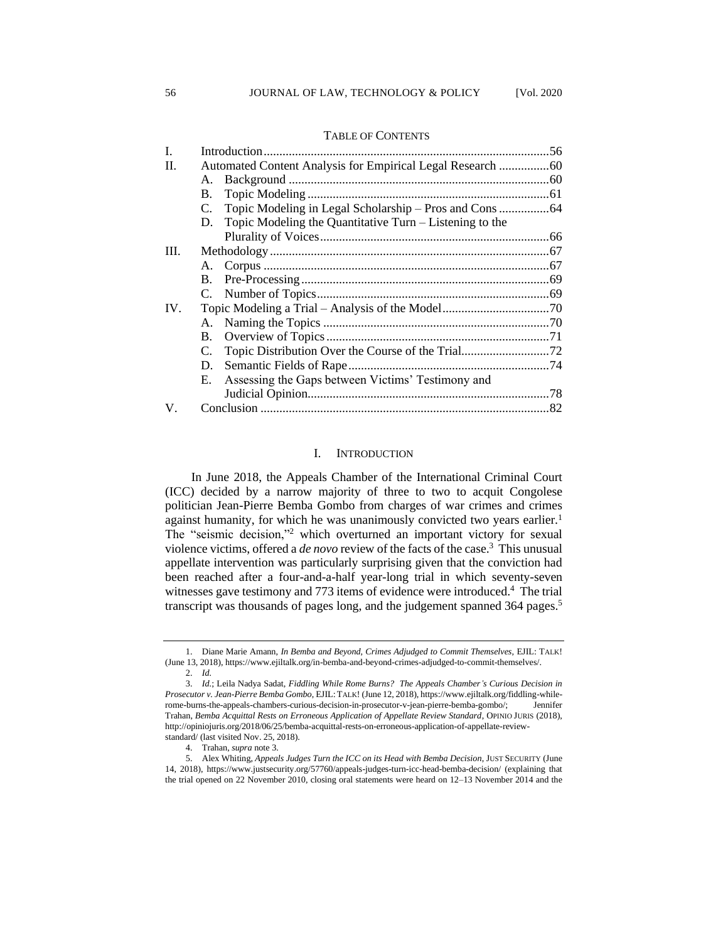| L       |    |                                                            |  |  |  |  |  |
|---------|----|------------------------------------------------------------|--|--|--|--|--|
| II.     |    |                                                            |  |  |  |  |  |
|         |    |                                                            |  |  |  |  |  |
|         | B. |                                                            |  |  |  |  |  |
|         |    |                                                            |  |  |  |  |  |
|         |    | D. Topic Modeling the Quantitative Turn – Listening to the |  |  |  |  |  |
|         |    |                                                            |  |  |  |  |  |
| III.    |    |                                                            |  |  |  |  |  |
|         |    |                                                            |  |  |  |  |  |
|         |    |                                                            |  |  |  |  |  |
|         |    |                                                            |  |  |  |  |  |
| IV.     |    |                                                            |  |  |  |  |  |
|         |    |                                                            |  |  |  |  |  |
|         |    |                                                            |  |  |  |  |  |
|         |    |                                                            |  |  |  |  |  |
|         |    |                                                            |  |  |  |  |  |
|         | E. | Assessing the Gaps between Victims' Testimony and          |  |  |  |  |  |
|         |    |                                                            |  |  |  |  |  |
| $V_{-}$ |    |                                                            |  |  |  |  |  |
|         |    |                                                            |  |  |  |  |  |

## TABLE OF CONTENTS

## I. INTRODUCTION

In June 2018, the Appeals Chamber of the International Criminal Court (ICC) decided by a narrow majority of three to two to acquit Congolese politician Jean-Pierre Bemba Gombo from charges of war crimes and crimes against humanity, for which he was unanimously convicted two years earlier.<sup>1</sup> The "seismic decision,"<sup>2</sup> which overturned an important victory for sexual violence victims, offered a *de novo* review of the facts of the case.<sup>3</sup> This unusual appellate intervention was particularly surprising given that the conviction had been reached after a four-and-a-half year-long trial in which seventy-seven witnesses gave testimony and 773 items of evidence were introduced.<sup>4</sup> The trial transcript was thousands of pages long, and the judgement spanned 364 pages. 5

<sup>1.</sup> Diane Marie Amann, *In Bemba and Beyond, Crimes Adjudged to Commit Themselves,* EJIL: TALK! (June 13, 2018), https://www.ejiltalk.org/in-bemba-and-beyond-crimes-adjudged-to-commit-themselves/. 2. *Id.*

<sup>3.</sup> *Id.*; Leila Nadya Sadat, *Fiddling While Rome Burns? The Appeals Chamber's Curious Decision in Prosecutor v. Jean-Pierre Bemba Gombo*, EJIL:TALK! (June 12, 2018), https://www.ejiltalk.org/fiddling-whilerome-burns-the-appeals-chambers-curious-decision-in-prosecutor-v-jean-pierre-bemba-gombo/; Jennifer Trahan, *Bemba Acquittal Rests on Erroneous Application of Appellate Review Standard*, OPINIO JURIS (2018), http://opiniojuris.org/2018/06/25/bemba-acquittal-rests-on-erroneous-application-of-appellate-reviewstandard/ (last visited Nov. 25, 2018).

<sup>4.</sup> Trahan, *supra* note 3.

<sup>5.</sup> Alex Whiting, *Appeals Judges Turn the ICC on its Head with Bemba Decision*, JUST SECURITY (June 14, 2018), https://www.justsecurity.org/57760/appeals-judges-turn-icc-head-bemba-decision/ (explaining that the trial opened on 22 November 2010, closing oral statements were heard on 12–13 November 2014 and the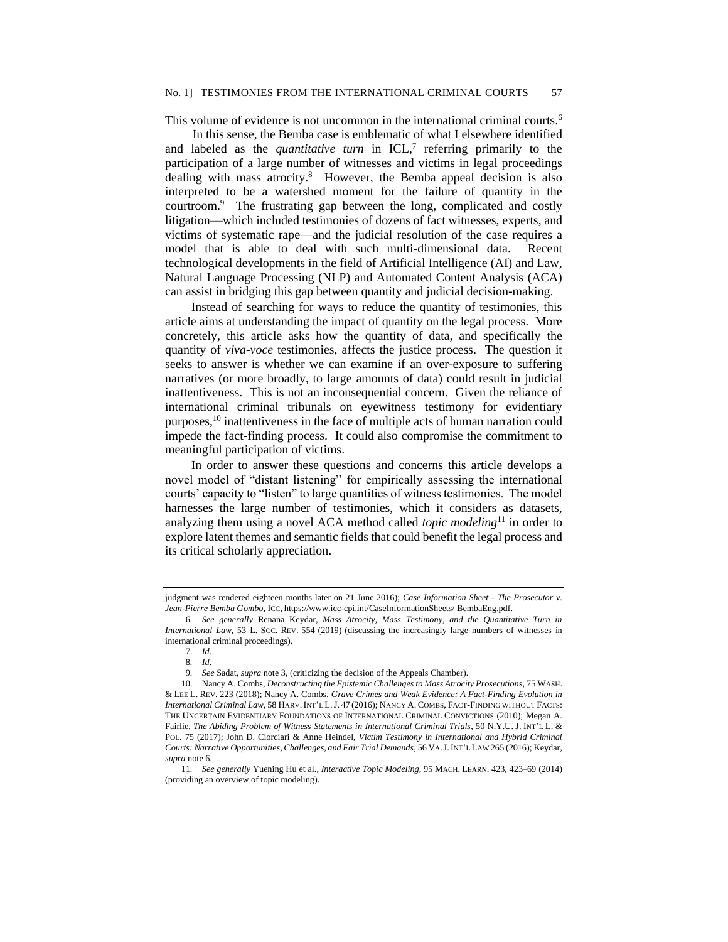This volume of evidence is not uncommon in the international criminal courts.<sup>6</sup>

In this sense, the Bemba case is emblematic of what I elsewhere identified and labeled as the *quantitative turn* in ICL,<sup>7</sup> referring primarily to the participation of a large number of witnesses and victims in legal proceedings dealing with mass atrocity.<sup>8</sup> However, the Bemba appeal decision is also interpreted to be a watershed moment for the failure of quantity in the courtroom.<sup>9</sup> The frustrating gap between the long, complicated and costly litigation—which included testimonies of dozens of fact witnesses, experts, and victims of systematic rape—and the judicial resolution of the case requires a model that is able to deal with such multi-dimensional data. Recent technological developments in the field of Artificial Intelligence (AI) and Law, Natural Language Processing (NLP) and Automated Content Analysis (ACA) can assist in bridging this gap between quantity and judicial decision-making.

Instead of searching for ways to reduce the quantity of testimonies, this article aims at understanding the impact of quantity on the legal process. More concretely, this article asks how the quantity of data, and specifically the quantity of *viva-voce* testimonies, affects the justice process. The question it seeks to answer is whether we can examine if an over-exposure to suffering narratives (or more broadly, to large amounts of data) could result in judicial inattentiveness. This is not an inconsequential concern. Given the reliance of international criminal tribunals on eyewitness testimony for evidentiary purposes,<sup>10</sup> inattentiveness in the face of multiple acts of human narration could impede the fact-finding process. It could also compromise the commitment to meaningful participation of victims.

In order to answer these questions and concerns this article develops a novel model of "distant listening" for empirically assessing the international courts' capacity to "listen" to large quantities of witness testimonies. The model harnesses the large number of testimonies, which it considers as datasets, analyzing them using a novel ACA method called *topic modeling*<sup>11</sup> in order to explore latent themes and semantic fields that could benefit the legal process and its critical scholarly appreciation.

judgment was rendered eighteen months later on 21 June 2016); *Case Information Sheet - The Prosecutor v. Jean-Pierre Bemba Gombo*, ICC, https://www.icc-cpi.int/CaseInformationSheets/ BembaEng.pdf.

<sup>6</sup>*. See generally* Renana Keydar, *Mass Atrocity, Mass Testimony, and the Quantitative Turn in International Law*, 53 L. SOC. REV. 554 (2019) (discussing the increasingly large numbers of witnesses in international criminal proceedings).

<sup>7.</sup> *Id.*

<sup>8</sup>*. Id.*

<sup>9</sup>*. See* Sadat, *supra* note 3, (criticizing the decision of the Appeals Chamber).

<sup>10.</sup> Nancy A. Combs, *Deconstructing the Epistemic Challenges to Mass Atrocity Prosecutions*, 75 WASH. & LEE L. REV. 223 (2018); Nancy A. Combs, *Grave Crimes and Weak Evidence: A Fact-Finding Evolution in International Criminal Law*, 58 HARV.INT'L L.J. 47 (2016); NANCY A.COMBS, FACT-FINDING WITHOUT FACTS: THE UNCERTAIN EVIDENTIARY FOUNDATIONS OF INTERNATIONAL CRIMINAL CONVICTIONS (2010); Megan A. Fairlie, *The Abiding Problem of Witness Statements in International Criminal Trials*, 50 N.Y.U. J. INT'L L. & POL. 75 (2017); John D. Ciorciari & Anne Heindel, *Victim Testimony in International and Hybrid Criminal Courts: Narrative Opportunities, Challenges, and Fair Trial Demands*, 56 VA.J.INT'L LAW 265 (2016); Keydar, *supra* note 6.

<sup>11</sup>*. See generally* Yuening Hu et al., *Interactive Topic Modeling*, 95 MACH. LEARN. 423, 423–69 (2014) (providing an overview of topic modeling).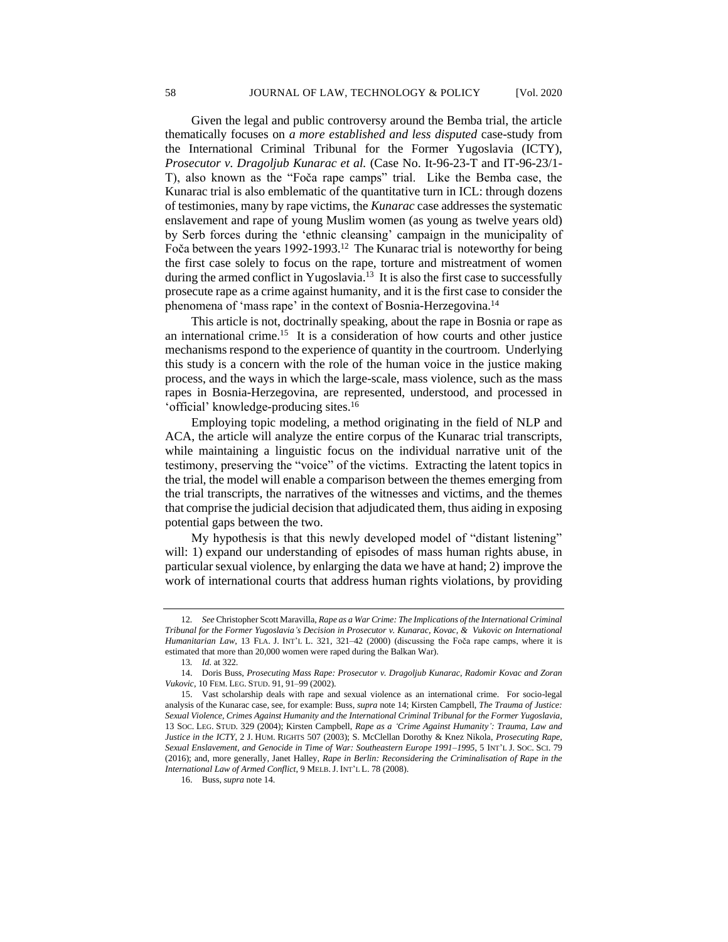Given the legal and public controversy around the Bemba trial, the article thematically focuses on *a more established and less disputed* case-study from the International Criminal Tribunal for the Former Yugoslavia (ICTY), *Prosecutor v. Dragoljub Kunarac et al.* (Case No. It-96-23-T and IT-96-23/1- T), also known as the "Foča rape camps" trial. Like the Bemba case, the Kunarac trial is also emblematic of the quantitative turn in ICL: through dozens of testimonies, many by rape victims, the *Kunarac* case addresses the systematic enslavement and rape of young Muslim women (as young as twelve years old) by Serb forces during the 'ethnic cleansing' campaign in the municipality of Foča between the years 1992-1993.<sup>12</sup> The Kunarac trial is noteworthy for being the first case solely to focus on the rape, torture and mistreatment of women during the armed conflict in Yugoslavia.<sup>13</sup> It is also the first case to successfully prosecute rape as a crime against humanity, and it is the first case to consider the phenomena of 'mass rape' in the context of Bosnia-Herzegovina.<sup>14</sup>

This article is not, doctrinally speaking, about the rape in Bosnia or rape as an international crime.<sup>15</sup> It is a consideration of how courts and other justice mechanisms respond to the experience of quantity in the courtroom. Underlying this study is a concern with the role of the human voice in the justice making process, and the ways in which the large-scale, mass violence, such as the mass rapes in Bosnia-Herzegovina, are represented, understood, and processed in 'official' knowledge-producing sites.<sup>16</sup>

Employing topic modeling, a method originating in the field of NLP and ACA, the article will analyze the entire corpus of the Kunarac trial transcripts, while maintaining a linguistic focus on the individual narrative unit of the testimony, preserving the "voice" of the victims. Extracting the latent topics in the trial, the model will enable a comparison between the themes emerging from the trial transcripts, the narratives of the witnesses and victims, and the themes that comprise the judicial decision that adjudicated them, thus aiding in exposing potential gaps between the two.

My hypothesis is that this newly developed model of "distant listening" will: 1) expand our understanding of episodes of mass human rights abuse, in particular sexual violence, by enlarging the data we have at hand; 2) improve the work of international courts that address human rights violations, by providing

<sup>12</sup>*. See* Christopher Scott Maravilla, *Rape as a War Crime: The Implications of the International Criminal Tribunal for the Former Yugoslavia's Decision in Prosecutor v. Kunarac, Kovac, & Vukovic on International Humanitarian Law*, 13 FLA. J. INT'L L. 321, 321–42 (2000) (discussing the Foča rape camps, where it is estimated that more than 20,000 women were raped during the Balkan War).

<sup>13</sup>*. Id.* at 322.

<sup>14.</sup> Doris Buss, *Prosecuting Mass Rape: Prosecutor v. Dragoljub Kunarac, Radomir Kovac and Zoran Vukovic*, 10 FEM. LEG. STUD. 91, 91–99 (2002).

<sup>15.</sup> Vast scholarship deals with rape and sexual violence as an international crime. For socio-legal analysis of the Kunarac case, see, for example: Buss, *supra* note 14; Kirsten Campbell, *The Trauma of Justice: Sexual Violence, Crimes Against Humanity and the International Criminal Tribunal for the Former Yugoslavia*, 13 SOC. LEG. STUD. 329 (2004); Kirsten Campbell, *Rape as a 'Crime Against Humanity': Trauma, Law and Justice in the ICTY*, 2 J. HUM. RIGHTS 507 (2003); S. McClellan Dorothy & Knez Nikola, *Prosecuting Rape, Sexual Enslavement, and Genocide in Time of War: Southeastern Europe 1991–1995*, 5 INT'L J. SOC. SCI. 79 (2016); and, more generally, Janet Halley, *Rape in Berlin: Reconsidering the Criminalisation of Rape in the International Law of Armed Conflict*, 9 MELB.J. INT'L L. 78 (2008).

<sup>16.</sup> Buss, *supra* note 14.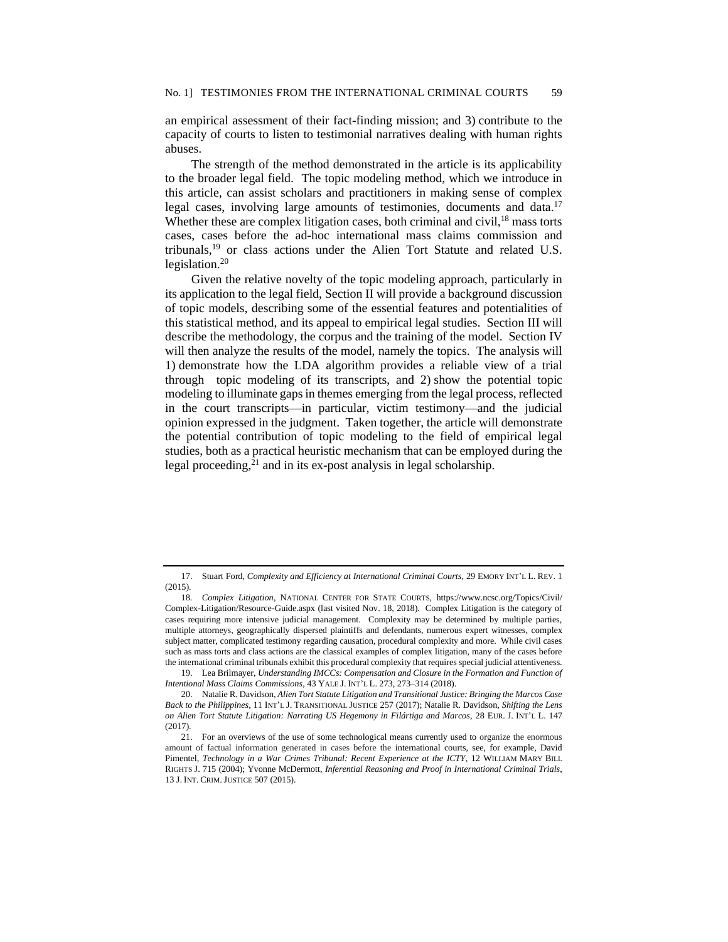an empirical assessment of their fact-finding mission; and 3) contribute to the capacity of courts to listen to testimonial narratives dealing with human rights abuses.

The strength of the method demonstrated in the article is its applicability to the broader legal field. The topic modeling method, which we introduce in this article, can assist scholars and practitioners in making sense of complex legal cases, involving large amounts of testimonies, documents and data.<sup>17</sup> Whether these are complex litigation cases, both criminal and civil, $18$  mass torts cases, cases before the ad-hoc international mass claims commission and tribunals,<sup>19</sup> or class actions under the Alien Tort Statute and related U.S. legislation.<sup>20</sup>

Given the relative novelty of the topic modeling approach, particularly in its application to the legal field, Section II will provide a background discussion of topic models, describing some of the essential features and potentialities of this statistical method, and its appeal to empirical legal studies. Section III will describe the methodology, the corpus and the training of the model. Section IV will then analyze the results of the model, namely the topics. The analysis will 1) demonstrate how the LDA algorithm provides a reliable view of a trial through topic modeling of its transcripts, and 2) show the potential topic modeling to illuminate gaps in themes emerging from the legal process, reflected in the court transcripts—in particular, victim testimony—and the judicial opinion expressed in the judgment. Taken together, the article will demonstrate the potential contribution of topic modeling to the field of empirical legal studies, both as a practical heuristic mechanism that can be employed during the legal proceeding, $21$  and in its ex-post analysis in legal scholarship.

<sup>17.</sup> Stuart Ford, *Complexity and Efficiency at International Criminal Courts*, 29 EMORY INT'L L. REV. 1 (2015).

<sup>18</sup>*. Complex Litigation*, NATIONAL CENTER FOR STATE COURTS, https://www.ncsc.org/Topics/Civil/ Complex-Litigation/Resource-Guide.aspx (last visited Nov. 18, 2018). Complex Litigation is the category of cases requiring more intensive judicial management. Complexity may be determined by multiple parties, multiple attorneys, geographically dispersed plaintiffs and defendants, numerous expert witnesses, complex subject matter, complicated testimony regarding causation, procedural complexity and more. While civil cases such as mass torts and class actions are the classical examples of complex litigation, many of the cases before the international criminal tribunals exhibit this procedural complexity that requires special judicial attentiveness.

<sup>19.</sup> Lea Brilmayer, *Understanding IMCCs: Compensation and Closure in the Formation and Function of Intentional Mass Claims Commissions*, 43 YALE J. INT'L L. 273, 273–314 (2018).

<sup>20.</sup> Natalie R. Davidson, *Alien Tort Statute Litigation and Transitional Justice: Bringing the Marcos Case Back to the Philippines*, 11 INT'L J. TRANSITIONAL JUSTICE 257 (2017); Natalie R. Davidson, *Shifting the Lens on Alien Tort Statute Litigation: Narrating US Hegemony in Filártiga and Marcos*, 28 EUR. J. INT'L L. 147 (2017).

<sup>21.</sup> For an overviews of the use of some technological means currently used to organize the enormous amount of factual information generated in cases before the international courts, see, for example, David Pimentel, *Technology in a War Crimes Tribunal: Recent Experience at the ICTY*, 12 WILLIAM MARY BILL RIGHTS J. 715 (2004); Yvonne McDermott, *Inferential Reasoning and Proof in International Criminal Trials*, 13 J. INT. CRIM.JUSTICE 507 (2015).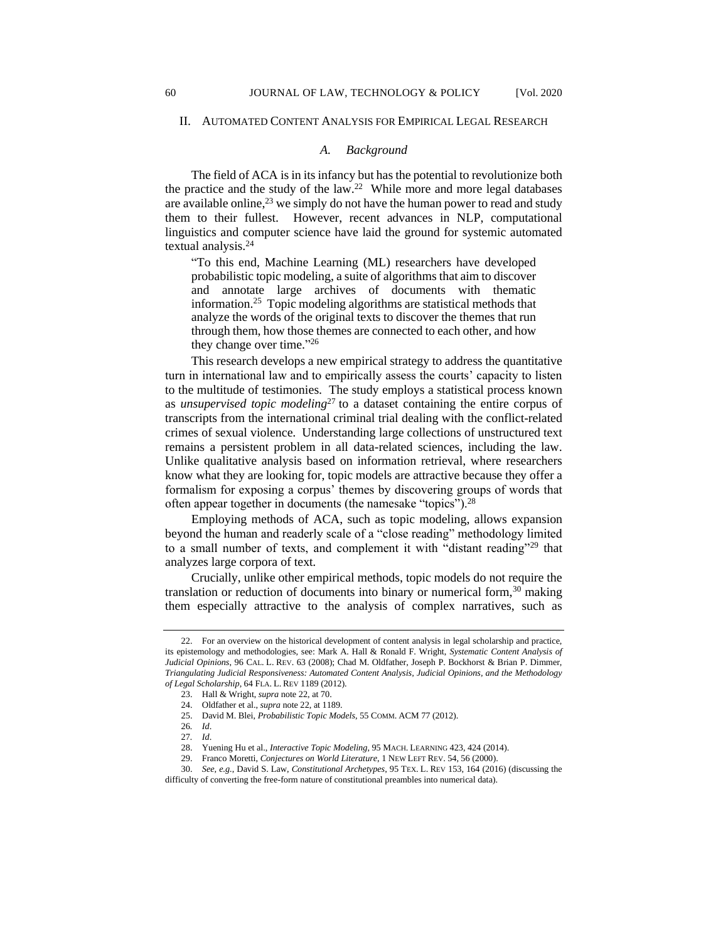#### II. AUTOMATED CONTENT ANALYSIS FOR EMPIRICAL LEGAL RESEARCH

#### *A. Background*

The field of ACA is in its infancy but has the potential to revolutionize both the practice and the study of the law.<sup>22</sup> While more and more legal databases are available online,  $^{23}$  we simply do not have the human power to read and study them to their fullest. However, recent advances in NLP, computational linguistics and computer science have laid the ground for systemic automated textual analysis.<sup>24</sup>

"To this end, Machine Learning (ML) researchers have developed probabilistic topic modeling, a suite of algorithms that aim to discover and annotate large archives of documents with thematic information.<sup>25</sup> Topic modeling algorithms are statistical methods that analyze the words of the original texts to discover the themes that run through them, how those themes are connected to each other, and how they change over time." 26

This research develops a new empirical strategy to address the quantitative turn in international law and to empirically assess the courts' capacity to listen to the multitude of testimonies. The study employs a statistical process known as *unsupervised topic modeling*<sup>27</sup> to a dataset containing the entire corpus of transcripts from the international criminal trial dealing with the conflict-related crimes of sexual violence. Understanding large collections of unstructured text remains a persistent problem in all data-related sciences, including the law. Unlike qualitative analysis based on information retrieval, where researchers know what they are looking for, topic models are attractive because they offer a formalism for exposing a corpus' themes by discovering groups of words that often appear together in documents (the namesake "topics").<sup>28</sup>

Employing methods of ACA, such as topic modeling, allows expansion beyond the human and readerly scale of a "close reading" methodology limited to a small number of texts, and complement it with "distant reading"<sup>29</sup> that analyzes large corpora of text.

Crucially, unlike other empirical methods, topic models do not require the translation or reduction of documents into binary or numerical form,  $30$  making them especially attractive to the analysis of complex narratives, such as

<sup>22.</sup> For an overview on the historical development of content analysis in legal scholarship and practice, its epistemology and methodologies, see: Mark A. Hall & Ronald F. Wright, *Systematic Content Analysis of Judicial Opinions*, 96 CAL. L. REV. 63 (2008); Chad M. Oldfather, Joseph P. Bockhorst & Brian P. Dimmer, *Triangulating Judicial Responsiveness: Automated Content Analysis, Judicial Opinions, and the Methodology of Legal Scholarship*, 64 FLA. L. REV 1189 (2012).

<sup>23.</sup> Hall & Wright, *supra* note 22, at 70.

<sup>24.</sup> Oldfather et al., *supra* note 22, at 1189.

<sup>25.</sup> David M. Blei, *Probabilistic Topic Models*, 55 COMM. ACM 77 (2012).

<sup>26</sup>*. Id*.

<sup>27</sup>*. Id*.

<sup>28.</sup> Yuening Hu et al., *Interactive Topic Modeling*, 95 MACH. LEARNING 423, 424 (2014).

<sup>29.</sup> Franco Moretti, *Conjectures on World Literature*, 1 NEW LEFT REV. 54, 56 (2000).

<sup>30.</sup> *See, e.g.*, David S. Law, *Constitutional Archetypes*, 95 TEX. L. REV 153, 164 (2016) (discussing the difficulty of converting the free-form nature of constitutional preambles into numerical data).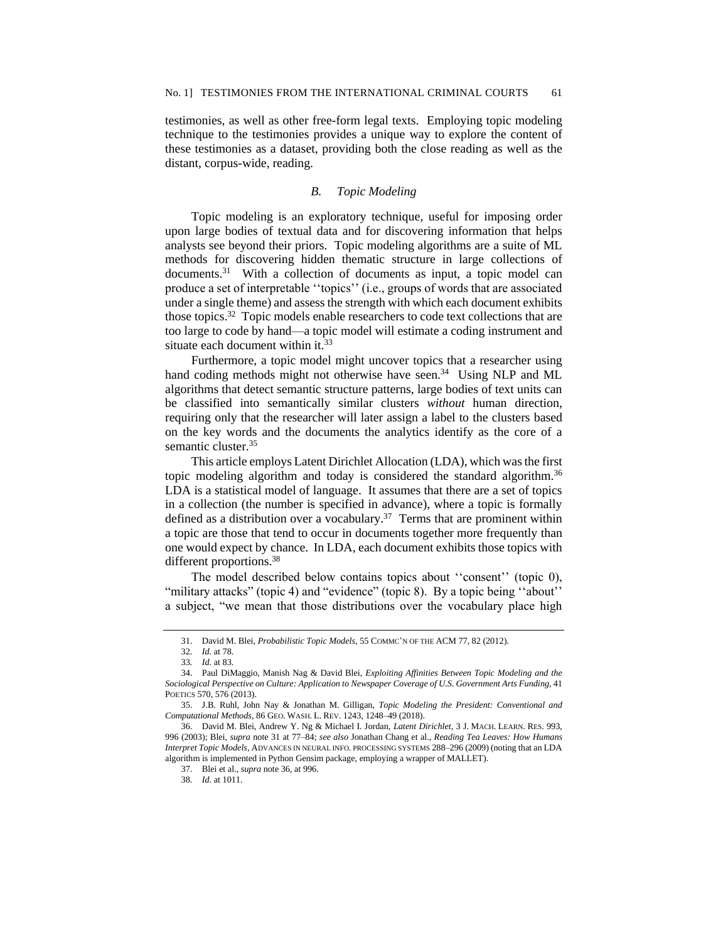testimonies, as well as other free-form legal texts. Employing topic modeling technique to the testimonies provides a unique way to explore the content of these testimonies as a dataset, providing both the close reading as well as the distant, corpus-wide, reading.

## *B. Topic Modeling*

Topic modeling is an exploratory technique, useful for imposing order upon large bodies of textual data and for discovering information that helps analysts see beyond their priors. Topic modeling algorithms are a suite of ML methods for discovering hidden thematic structure in large collections of documents.<sup>31</sup> With a collection of documents as input, a topic model can produce a set of interpretable ''topics'' (i.e., groups of words that are associated under a single theme) and assess the strength with which each document exhibits those topics.<sup>32</sup> Topic models enable researchers to code text collections that are too large to code by hand––a topic model will estimate a coding instrument and situate each document within it.<sup>33</sup>

Furthermore, a topic model might uncover topics that a researcher using hand coding methods might not otherwise have seen.<sup>34</sup> Using NLP and ML algorithms that detect semantic structure patterns, large bodies of text units can be classified into semantically similar clusters *without* human direction, requiring only that the researcher will later assign a label to the clusters based on the key words and the documents the analytics identify as the core of a semantic cluster.<sup>35</sup>

This article employs Latent Dirichlet Allocation (LDA), which was the first topic modeling algorithm and today is considered the standard algorithm.<sup>36</sup> LDA is a statistical model of language. It assumes that there are a set of topics in a collection (the number is specified in advance), where a topic is formally defined as a distribution over a vocabulary.<sup>37</sup> Terms that are prominent within a topic are those that tend to occur in documents together more frequently than one would expect by chance. In LDA, each document exhibits those topics with different proportions.<sup>38</sup>

The model described below contains topics about ''consent'' (topic 0), "military attacks" (topic 4) and "evidence" (topic 8). By a topic being "about" a subject, "we mean that those distributions over the vocabulary place high

<sup>31.</sup> David M. Blei, *Probabilistic Topic Models,* 55 COMMC'N OF THE ACM 77, 82 (2012).

<sup>32</sup>*. Id.* at 78.

<sup>33</sup>*. Id.* at 83.

<sup>34.</sup> Paul DiMaggio, Manish Nag & David Blei, *Exploiting Affinities Between Topic Modeling and the Sociological Perspective on Culture: Application to Newspaper Coverage of U.S. Government Arts Funding*, 41 POETICS 570, 576 (2013).

<sup>35.</sup> J.B. Ruhl, John Nay & Jonathan M. Gilligan, *Topic Modeling the President: Conventional and Computational Methods*, 86 GEO. WASH. L. REV. 1243, 1248–49 (2018).

<sup>36.</sup> David M. Blei, Andrew Y. Ng & Michael I. Jordan, *Latent Dirichlet,* 3 J. MACH. LEARN. RES. 993, 996 (2003); Blei, *supra* note 31 at 77–84; *see also* Jonathan Chang et al., *Reading Tea Leaves: How Humans Interpret Topic Models*, ADVANCES IN NEURAL INFO. PROCESSING SYSTEMS 288–296 (2009) (noting that an LDA algorithm is implemented in Python [Gensim p](https://radimrehurek.com/gensim/)ackage, employing a wrapper of MALLET).

<sup>37.</sup> Blei et al., *supra* note 36, at 996.

<sup>38</sup>*. Id.* at 1011.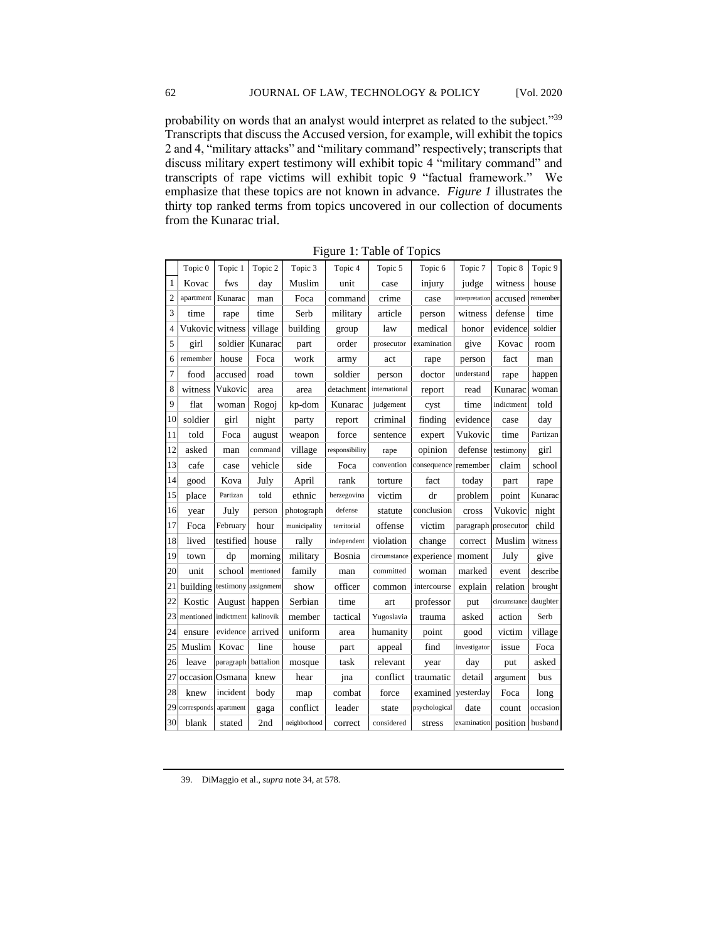probability on words that an analyst would interpret as related to the subject."<sup>39</sup> Transcripts that discuss the Accused version, for example, will exhibit the topics 2 and 4, "military attacks" and "military command" respectively; transcripts that discuss military expert testimony will exhibit topic 4 "military command" and transcripts of rape victims will exhibit topic 9 "factual framework." We emphasize that these topics are not known in advance. *Figure 1* illustrates the thirty top ranked terms from topics uncovered in our collection of documents from the Kunarac trial.

|                | Topic 0              | Topic 1              | Topic 2   | Topic 3      | Topic 4        | Topic 5       | Topic 6       | Topic 7              | Topic 8      | Topic 9  |
|----------------|----------------------|----------------------|-----------|--------------|----------------|---------------|---------------|----------------------|--------------|----------|
| $\mathbf{1}$   | Kovac                | fws                  | day       | Muslim       | unit           | case          | injury        | judge                | witness      | house    |
| $\overline{c}$ | apartment            | Kunarac              | man       | Foca         | command        | crime         | case          | interpretation       | accused      | remember |
| 3              | time                 | rape                 | time      | Serb         | military       | article       | person        | witness              | defense      | time     |
| $\overline{4}$ | Vukovic              | witness              | village   | building     | group          | law           | medical       | honor                | evidence     | soldier  |
| 5              | girl                 | soldier              | Kunarac   | part         | order          | prosecutor    | examination   | give                 | Kovac        | room     |
| 6              | remember             | house                | Foca      | work         | army           | act           | rape          | person               | fact         | man      |
| $\overline{7}$ | food                 | accused              | road      | town         | soldier        | person        | doctor        | understand           | rape         | happen   |
| 8              | witness              | Vukovic              | area      | area         | detachment     | international | report        | read                 | Kunarac      | woman    |
| 9              | flat                 | woman                | Rogoj     | kp-dom       | Kunarac        | judgement     | cyst          | time                 | indictment   | told     |
| 10             | soldier              | girl                 | night     | party        | report         | criminal      | finding       | evidence             | case         | day      |
| 11             | told                 | Foca                 | august    | weapon       | force          | sentence      | expert        | Vukovic              | time         | Partizan |
| 12             | asked                | man                  | command   | village      | responsibility | rape          | opinion       | defense              | testimony    | girl     |
| 13             | cafe                 | case                 | vehicle   | side         | Foca           | convention    | consequence   | remember             | claim        | school   |
| 14             | good                 | Kova                 | July      | April        | rank           | torture       | fact          | today                | part         | rape     |
| 15             | place                | Partizan             | told      | ethnic       | herzegovina    | victim        | dr            | problem              | point        | Kunarac  |
| 16             | year                 | July                 | person    | photograph   | defense        | statute       | conclusion    | cross                | Vukovic      | night    |
| 17             | Foca                 | February             | hour      | municipality | territorial    | offense       | victim        | paragraph            | prosecutor   | child    |
| 18             | lived                | testified            | house     | rally        | independent    | violation     | change        | correct              | Muslim       | Witness  |
| 19             | town                 | dp                   | morning   | military     | Bosnia         | circumstance  | experience    | moment               | July         | give     |
| 20             | unit                 | school               | mentioned | family       | man            | committed     | woman         | marked               | event        | describe |
| 21             | building             | testimony assignment |           | show         | officer        | common        | intercourse   | explain              | relation     | brought  |
| 22             | Kostic               | August               | happen    | Serbian      | time           | art           | professor     | put                  | circumstance | daughter |
| 23             | mentioned indictment |                      | kalinovik | member       | tactical       | Yugoslavia    | trauma        | asked                | action       | Serb     |
| 24             | ensure               | evidence             | arrived   | uniform      | area           | humanity      | point         | good                 | victim       | village  |
| 25             | Muslim               | Kovac                | line      | house        | part           | appeal        | find          | investigator         | issue        | Foca     |
| 26             | leave                | paragraph            | battalion | mosque       | task           | relevant      | year          | day                  | put          | asked    |
| 27             | occasion             | Osmana               | knew      | hear         | jna            | conflict      | traumatic     | detail               | argument     | bus      |
| 28             | knew                 | incident             | body      | map          | combat         | force         | examined      | yesterday            | Foca         | long     |
| 29             | corresponds          | apartment            | gaga      | conflict     | leader         | state         | psychological | date                 | count        | occasion |
| 30             | blank                | stated               | 2nd       | neighborhood | correct        | considered    | stress        | examination position |              | husband  |

Figure 1: Table of Topics

<sup>39.</sup> DiMaggio et al., *supra* note 34, at 578.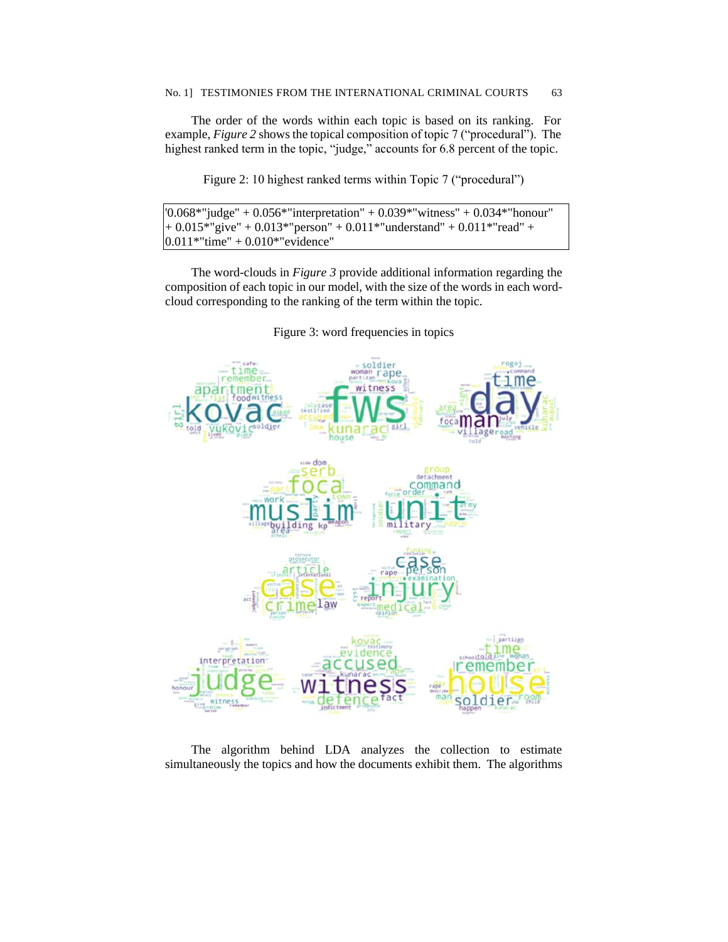The order of the words within each topic is based on its ranking. For example, *Figure 2* shows the topical composition of topic 7 ("procedural"). The highest ranked term in the topic, "judge," accounts for 6.8 percent of the topic.

Figure 2: 10 highest ranked terms within Topic 7 ("procedural")

```
'0.068*"judge" + 0.056*"interpretation" + 0.039*"witness" + 0.034*"honour" 
+ 0.015*"give" + 0.013*"person" + 0.011*"understand" + 0.011*"read" +
0.011*"time" + 0.010*"evidence"
```
The word-clouds in *Figure 3* provide additional information regarding the composition of each topic in our model, with the size of the words in each wordcloud corresponding to the ranking of the term within the topic.



Figure 3: word frequencies in topics

The algorithm behind LDA analyzes the collection to estimate simultaneously the topics and how the documents exhibit them. The algorithms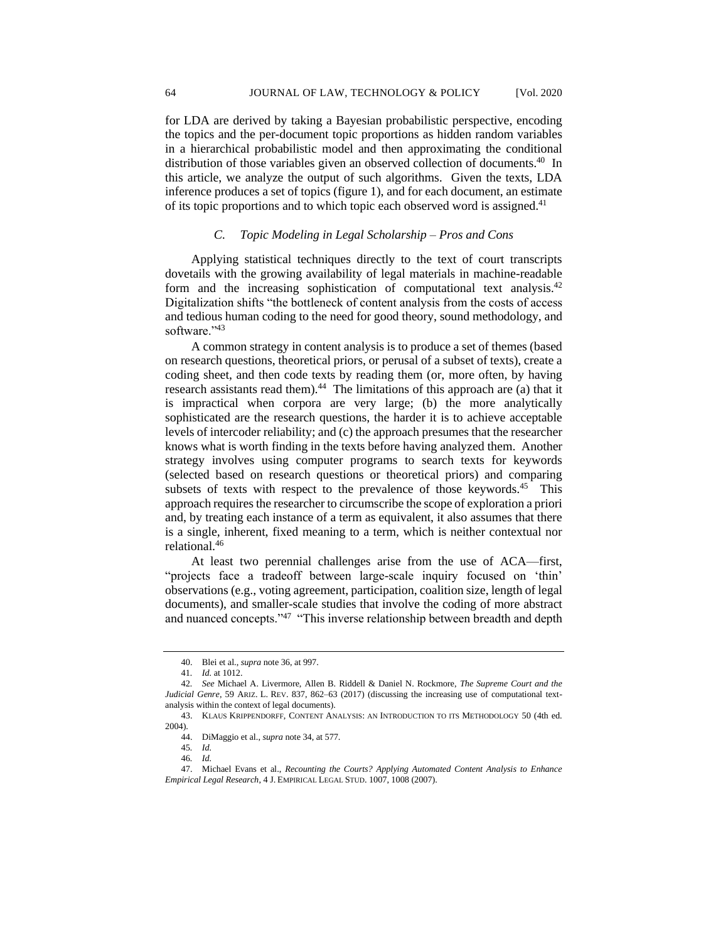for LDA are derived by taking a Bayesian probabilistic perspective, encoding the topics and the per-document topic proportions as hidden random variables in a hierarchical probabilistic model and then approximating the conditional distribution of those variables given an observed collection of documents.<sup>40</sup> In this article, we analyze the output of such algorithms. Given the texts, LDA inference produces a set of topics (figure 1), and for each document, an estimate of its topic proportions and to which topic each observed word is assigned.<sup>41</sup>

# *C. Topic Modeling in Legal Scholarship – Pros and Cons*

Applying statistical techniques directly to the text of court transcripts dovetails with the growing availability of legal materials in machine-readable form and the increasing sophistication of computational text analysis.<sup>42</sup> Digitalization shifts "the bottleneck of content analysis from the costs of access and tedious human coding to the need for good theory, sound methodology, and software."43

A common strategy in content analysis is to produce a set of themes (based on research questions, theoretical priors, or perusal of a subset of texts), create a coding sheet, and then code texts by reading them (or, more often, by having research assistants read them).<sup>44</sup> The limitations of this approach are (a) that it is impractical when corpora are very large; (b) the more analytically sophisticated are the research questions, the harder it is to achieve acceptable levels of intercoder reliability; and (c) the approach presumes that the researcher knows what is worth finding in the texts before having analyzed them. Another strategy involves using computer programs to search texts for keywords (selected based on research questions or theoretical priors) and comparing subsets of texts with respect to the prevalence of those keywords.<sup>45</sup> This approach requires the researcher to circumscribe the scope of exploration a priori and, by treating each instance of a term as equivalent, it also assumes that there is a single, inherent, fixed meaning to a term, which is neither contextual nor relational.<sup>46</sup>

At least two perennial challenges arise from the use of ACA—first, "projects face a tradeoff between large-scale inquiry focused on 'thin' observations (e.g., voting agreement, participation, coalition size, length of legal documents), and smaller-scale studies that involve the coding of more abstract and nuanced concepts."<sup>47</sup> "This inverse relationship between breadth and depth

<sup>40.</sup> Blei et al., *supra* note 36, at 997.

<sup>41</sup>*. Id.* at 1012.

<sup>42</sup>*. See* Michael A. Livermore, Allen B. Riddell & Daniel N. Rockmore, *The Supreme Court and the Judicial Genre*, 59 ARIZ. L. REV. 837, 862–63 (2017) (discussing the increasing use of computational textanalysis within the context of legal documents).

<sup>43.</sup> KLAUS KRIPPENDORFF, CONTENT ANALYSIS: AN INTRODUCTION TO ITS METHODOLOGY 50 (4th ed. 2004).

<sup>44.</sup> DiMaggio et al., *supra* note 34, at 577.

<sup>45</sup>*. Id.*

<sup>46</sup>*. Id.*

<sup>47.</sup> Michael Evans et al., *Recounting the Courts? Applying Automated Content Analysis to Enhance Empirical Legal Research*, 4 J. EMPIRICAL LEGAL STUD. 1007, 1008 (2007).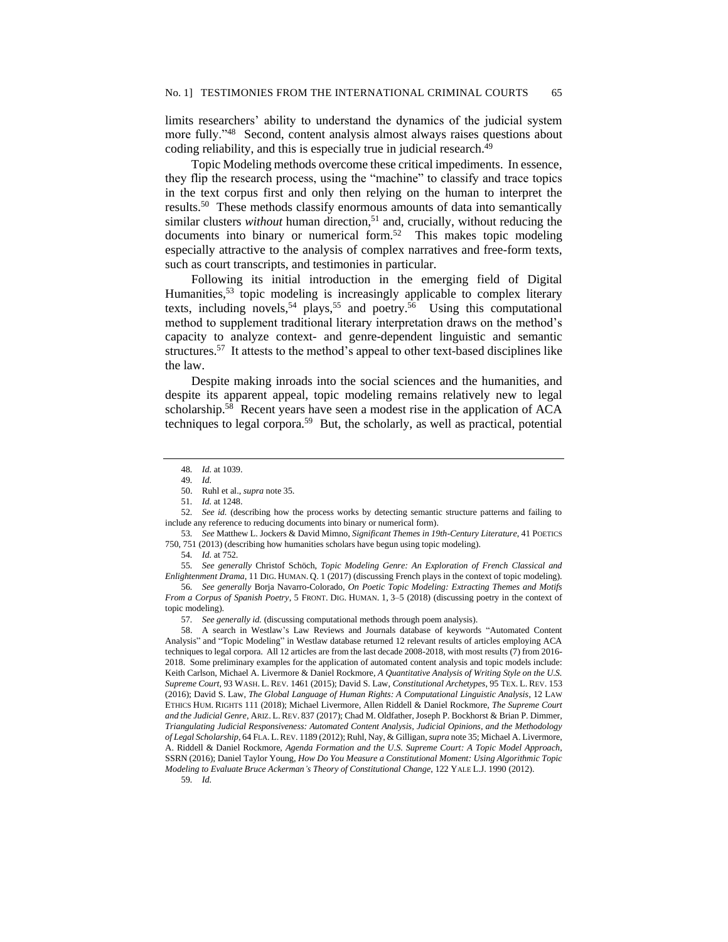limits researchers' ability to understand the dynamics of the judicial system more fully."<sup>48</sup> Second, content analysis almost always raises questions about coding reliability, and this is especially true in judicial research.<sup>49</sup>

Topic Modeling methods overcome these critical impediments. In essence, they flip the research process, using the "machine" to classify and trace topics in the text corpus first and only then relying on the human to interpret the results.<sup>50</sup> These methods classify enormous amounts of data into semantically similar clusters *without* human direction,<sup>51</sup> and, crucially, without reducing the documents into binary or numerical form.<sup>52</sup> This makes topic modeling especially attractive to the analysis of complex narratives and free-form texts, such as court transcripts, and testimonies in particular.

Following its initial introduction in the emerging field of Digital Humanities,<sup>53</sup> topic modeling is increasingly applicable to complex literary texts, including novels,<sup>54</sup> plays,<sup>55</sup> and poetry.<sup>56</sup> Using this computational method to supplement traditional literary interpretation draws on the method's capacity to analyze context- and genre-dependent linguistic and semantic structures.<sup>57</sup> It attests to the method's appeal to other text-based disciplines like the law.

Despite making inroads into the social sciences and the humanities, and despite its apparent appeal, topic modeling remains relatively new to legal scholarship.<sup>58</sup> Recent years have seen a modest rise in the application of ACA techniques to legal corpora.<sup>59</sup> But, the scholarly, as well as practical, potential

55*. See generally* Christof Schöch, *Topic Modeling Genre: An Exploration of French Classical and Enlightenment Drama*, 11 DIG. HUMAN. Q. 1 (2017) (discussing French plays in the context of topic modeling).

56*. See generally* Borja Navarro-Colorado, *On Poetic Topic Modeling: Extracting Themes and Motifs From a Corpus of Spanish Poetry*, 5 FRONT. DIG. HUMAN. 1, 3–5 (2018) (discussing poetry in the context of topic modeling).

57*. See generally id.* (discussing computational methods through poem analysis).

58. A search in Westlaw's Law Reviews and Journals database of keywords "Automated Content Analysis" and "Topic Modeling" in Westlaw database returned 12 relevant results of articles employing ACA techniques to legal corpora. All 12 articles are from the last decade 2008-2018, with most results (7) from 2016- 2018. Some preliminary examples for the application of automated content analysis and topic models include: Keith Carlson, Michael A. Livermore & Daniel Rockmore, *A Quantitative Analysis of Writing Style on the U.S. Supreme Court*, 93 WASH. L. REV. 1461 (2015); David S. Law, *Constitutional Archetypes*, 95 TEX. L. REV. 153 (2016); David S. Law, *The Global Language of Human Rights: A Computational Linguistic Analysis*, 12 LAW ETHICS HUM. RIGHTS 111 (2018); Michael Livermore, Allen Riddell & Daniel Rockmore, *The Supreme Court and the Judicial Genre*, ARIZ. L. REV. 837 (2017); Chad M. Oldfather, Joseph P. Bockhorst & Brian P. Dimmer, *Triangulating Judicial Responsiveness: Automated Content Analysis, Judicial Opinions, and the Methodology of Legal Scholarship*, 64 FLA. L.REV. 1189 (2012); Ruhl, Nay, & Gilligan, *supra* note 35; Michael A. Livermore, A. Riddell & Daniel Rockmore, *Agenda Formation and the U.S. Supreme Court: A Topic Model Approach*, SSRN (2016); Daniel Taylor Young, *How Do You Measure a Constitutional Moment: Using Algorithmic Topic Modeling to Evaluate Bruce Ackerman's Theory of Constitutional Change*, 122 YALE L.J. 1990 (2012).

<sup>48</sup>*. Id.* at 1039.

<sup>49</sup>*. Id.*

<sup>50.</sup> Ruhl et al., *supra* note 35.

<sup>51</sup>*. Id.* at 1248.

<sup>52</sup>*. See id.* (describing how the process works by detecting semantic structure patterns and failing to include any reference to reducing documents into binary or numerical form).

<sup>53</sup>*. See* Matthew L. Jockers & David Mimno, *Significant Themes in 19th-Century Literature*, 41 POETICS 750, 751 (2013) (describing how humanities scholars have begun using topic modeling).

<sup>54</sup>*. Id.* at 752.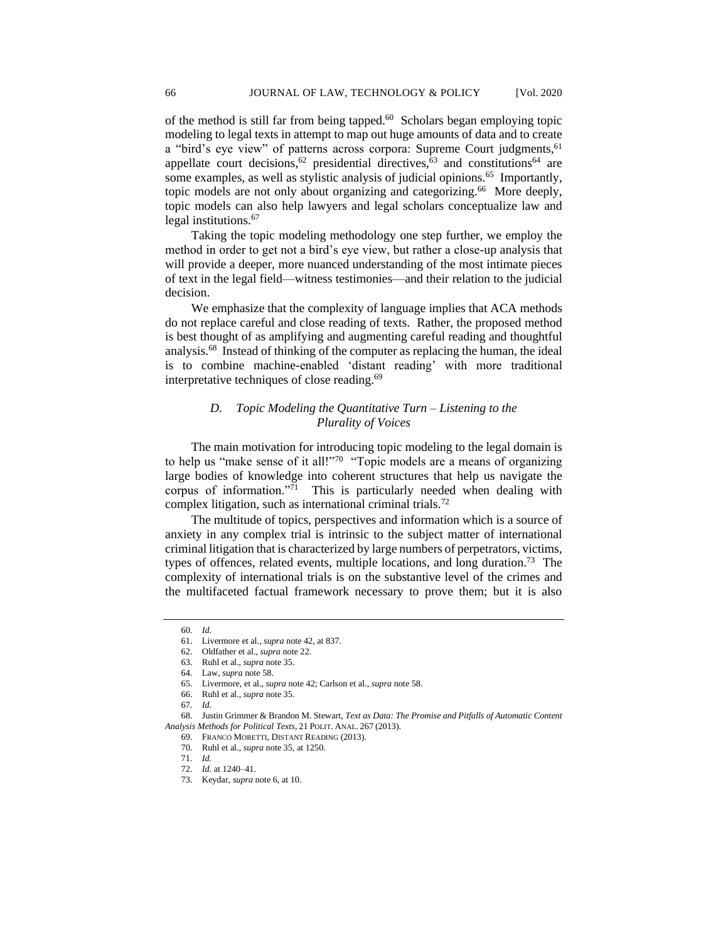of the method is still far from being tapped.<sup>60</sup> Scholars began employing topic modeling to legal texts in attempt to map out huge amounts of data and to create a "bird's eye view" of patterns across corpora: Supreme Court judgments,<sup>61</sup> appellate court decisions,<sup>62</sup> presidential directives, $63$  and constitutions<sup>64</sup> are some examples, as well as stylistic analysis of judicial opinions.<sup>65</sup> Importantly, topic models are not only about organizing and categorizing.<sup>66</sup> More deeply, topic models can also help lawyers and legal scholars conceptualize law and legal institutions.<sup>67</sup>

Taking the topic modeling methodology one step further, we employ the method in order to get not a bird's eye view, but rather a close-up analysis that will provide a deeper, more nuanced understanding of the most intimate pieces of text in the legal field—witness testimonies—and their relation to the judicial decision.

We emphasize that the complexity of language implies that ACA methods do not replace careful and close reading of texts. Rather, the proposed method is best thought of as amplifying and augmenting careful reading and thoughtful analysis.<sup>68</sup> Instead of thinking of the computer as replacing the human, the ideal is to combine machine-enabled 'distant reading' with more traditional interpretative techniques of close reading.<sup>69</sup>

# *D. Topic Modeling the Quantitative Turn – Listening to the Plurality of Voices*

The main motivation for introducing topic modeling to the legal domain is to help us "make sense of it all!"<sup>70</sup> "Topic models are a means of organizing large bodies of knowledge into coherent structures that help us navigate the corpus of information." $71$  This is particularly needed when dealing with complex litigation, such as international criminal trials.<sup>72</sup>

The multitude of topics, perspectives and information which is a source of anxiety in any complex trial is intrinsic to the subject matter of international criminal litigation that is characterized by large numbers of perpetrators, victims, types of offences, related events, multiple locations, and long duration.<sup>73</sup> The complexity of international trials is on the substantive level of the crimes and the multifaceted factual framework necessary to prove them; but it is also

<sup>60</sup>*. Id.*

<sup>61.</sup> Livermore et al., *supra* note 42, at 837.

<sup>62.</sup> Oldfather et al., *supra* note 22.

<sup>63.</sup> Ruhl et al., *supra* note 35.

<sup>64.</sup> Law, *supra* note 58.

<sup>65.</sup> Livermore, et al., *supra* note 42; Carlson et al., *supra* note 58.

<sup>66.</sup> Ruhl et al.*, supra* note 35.

<sup>67</sup>*. Id.*

<sup>68.</sup> Justin Grimmer & Brandon M. Stewart, *Text as Data: The Promise and Pitfalls of Automatic Content Analysis Methods for Political Texts*, 21 POLIT. ANAL. 267 (2013).

<sup>69.</sup> FRANCO MORETTI, DISTANT READING (2013).

<sup>70.</sup> Ruhl et al., *supra* note 35, at 1250.

<sup>71</sup>*. Id.*

<sup>72.</sup> *Id.* at 1240–41.

<sup>73.</sup> Keydar, *supra* note 6, at 10.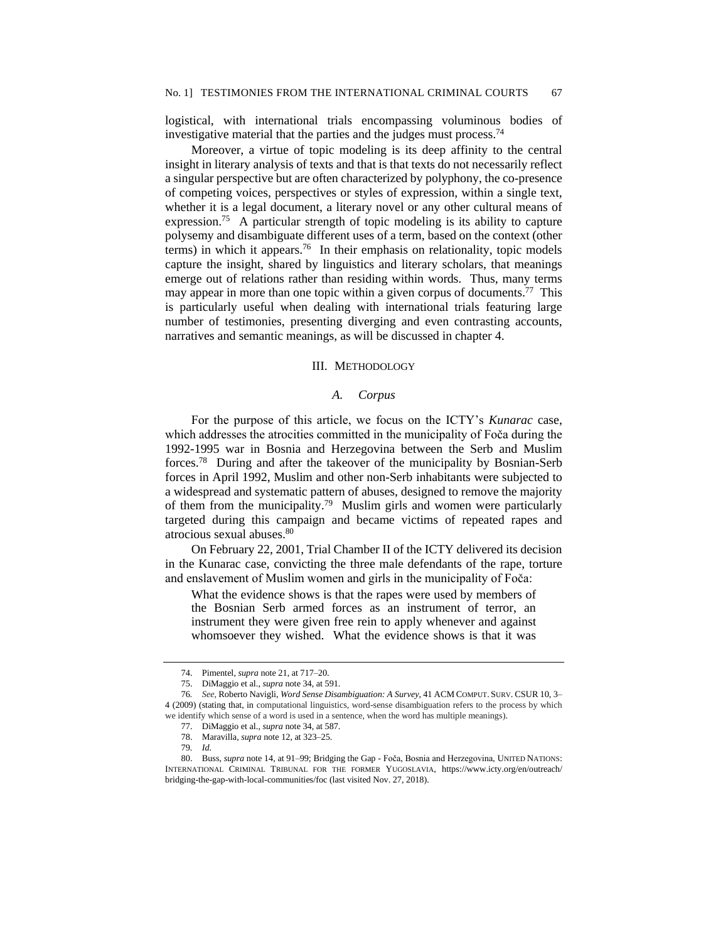logistical, with international trials encompassing voluminous bodies of investigative material that the parties and the judges must process.<sup>74</sup>

Moreover, a virtue of topic modeling is its deep affinity to the central insight in literary analysis of texts and that is that texts do not necessarily reflect a singular perspective but are often characterized by polyphony, the co-presence of competing voices, perspectives or styles of expression, within a single text, whether it is a legal document, a literary novel or any other cultural means of expression.<sup>75</sup> A particular strength of topic modeling is its ability to capture polysemy and disambiguate different uses of a term, based on the context (other terms) in which it appears.<sup>76</sup> In their emphasis on relationality, topic models capture the insight, shared by linguistics and literary scholars, that meanings emerge out of relations rather than residing within words. Thus, many terms may appear in more than one topic within a given corpus of documents.<sup>77</sup> This is particularly useful when dealing with international trials featuring large number of testimonies, presenting diverging and even contrasting accounts, narratives and semantic meanings, as will be discussed in chapter 4.

## III. METHODOLOGY

## *A. Corpus*

For the purpose of this article, we focus on the ICTY's *Kunarac* case, which addresses the atrocities committed in the municipality of Foča during the 1992-1995 war in Bosnia and Herzegovina between the Serb and Muslim forces.<sup>78</sup> During and after the takeover of the municipality by Bosnian-Serb forces in April 1992, Muslim and other non-Serb inhabitants were subjected to a widespread and systematic pattern of abuses, designed to remove the majority of them from the municipality.<sup>79</sup> Muslim girls and women were particularly targeted during this campaign and became victims of repeated rapes and atrocious sexual abuses.<sup>80</sup>

On February 22, 2001, Trial Chamber II of the ICTY delivered its decision in the Kunarac case, convicting the three male defendants of the rape, torture and enslavement of Muslim women and girls in the municipality of Foča:

What the evidence shows is that the rapes were used by members of the Bosnian Serb armed forces as an instrument of terror, an instrument they were given free rein to apply whenever and against whomsoever they wished. What the evidence shows is that it was

<sup>74.</sup> Pimentel, *supra* note 21, at 717–20.

<sup>75.</sup> DiMaggio et al., *supra* note 34, at 591.

<sup>76</sup>*. See*, Roberto Navigli, *Word Sense Disambiguation: A Survey*, 41 ACM COMPUT. SURV. CSUR 10, 3– 4 (2009) (stating that, in computational linguistics, word-sense disambiguation refers to the process by which we identify which sense of a word is used in a sentence, when the word has multiple meanings).

<sup>77.</sup> DiMaggio et al., *supra* note 34, at 587.

<sup>78.</sup> Maravilla, *supra* note 12, at 323–25.

<sup>79</sup>*. Id.*

<sup>80.</sup> Buss, *supra* note 14, at 91–99; Bridging the Gap - Foča, Bosnia and Herzegovina, UNITED NATIONS: INTERNATIONAL CRIMINAL TRIBUNAL FOR THE FORMER YUGOSLAVIA, https://www.icty.org/en/outreach/ bridging-the-gap-with-local-communities/foc (last visited Nov. 27, 2018).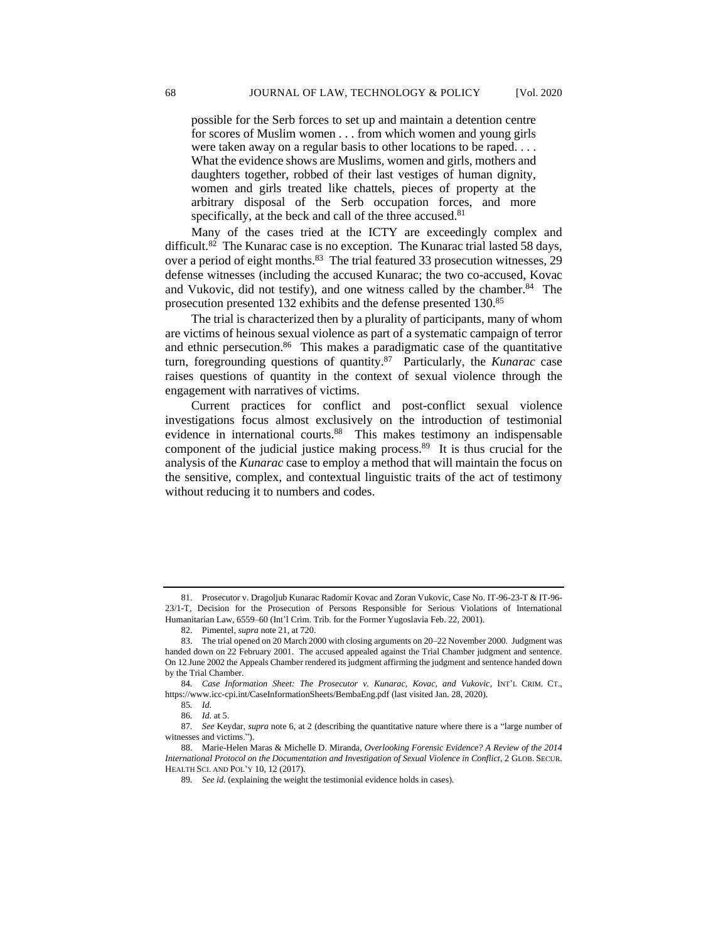possible for the Serb forces to set up and maintain a detention centre for scores of Muslim women . . . from which women and young girls were taken away on a regular basis to other locations to be raped. . . . What the evidence shows are Muslims, women and girls, mothers and daughters together, robbed of their last vestiges of human dignity, women and girls treated like chattels, pieces of property at the arbitrary disposal of the Serb occupation forces, and more specifically, at the beck and call of the three accused.<sup>81</sup>

Many of the cases tried at the ICTY are exceedingly complex and difficult.<sup>82</sup> The Kunarac case is no exception. The Kunarac trial lasted 58 days, over a period of eight months.<sup>83</sup> The trial featured 33 prosecution witnesses, 29 defense witnesses (including the accused Kunarac; the two co-accused, Kovac and Vukovic, did not testify), and one witness called by the chamber.<sup>84</sup> The prosecution presented 132 exhibits and the defense presented 130.<sup>85</sup>

The trial is characterized then by a plurality of participants, many of whom are victims of heinous sexual violence as part of a systematic campaign of terror and ethnic persecution.<sup>86</sup> This makes a paradigmatic case of the quantitative turn, foregrounding questions of quantity.<sup>87</sup> Particularly, the *Kunarac* case raises questions of quantity in the context of sexual violence through the engagement with narratives of victims.

Current practices for conflict and post-conflict sexual violence investigations focus almost exclusively on the introduction of testimonial evidence in international courts.<sup>88</sup> This makes testimony an indispensable component of the judicial justice making process.<sup>89</sup> It is thus crucial for the analysis of the *Kunarac* case to employ a method that will maintain the focus on the sensitive, complex, and contextual linguistic traits of the act of testimony without reducing it to numbers and codes.

<sup>81.</sup> Prosecutor v. Dragoljub Kunarac Radomir Kovac and Zoran Vukovic, Case No. IT-96-23-T & IT-96- 23/1-T, Decision for the Prosecution of Persons Responsible for Serious Violations of International Humanitarian Law, 6559–60 (Int'l Crim. Trib. for the Former Yugoslavia Feb. 22, 2001).

<sup>82.</sup> Pimentel, *supra* note 21, at 720.

<sup>83.</sup> The trial opened on 20 March 2000 with closing arguments on 20–22 November 2000. Judgment was handed down on 22 February 2001. The accused appealed against the Trial Chamber judgment and sentence. On 12 June 2002 the Appeals Chamber rendered its judgment affirming the judgment and sentence handed down by the Trial Chamber.

<sup>84</sup>*. Case Information Sheet: The Prosecutor v. Kunarac, Kovac, and Vukovic*, INT'L CRIM. CT., https://www.icc-cpi.int/CaseInformationSheets/BembaEng.pdf (last visited Jan. 28, 2020).

<sup>85</sup>*. Id.*

<sup>86</sup>*. Id.* at 5.

<sup>87</sup>*. See* Keydar, *supra* note 6, at 2 (describing the quantitative nature where there is a "large number of witnesses and victims.").

<sup>88.</sup> Marie-Helen Maras & Michelle D. Miranda, *Overlooking Forensic Evidence? A Review of the 2014 International Protocol on the Documentation and Investigation of Sexual Violence in Conflict*, 2 GLOB. SECUR. HEALTH SCI. AND POL'Y 10, 12 (2017).

<sup>89</sup>*. See id.* (explaining the weight the testimonial evidence holds in cases)*.*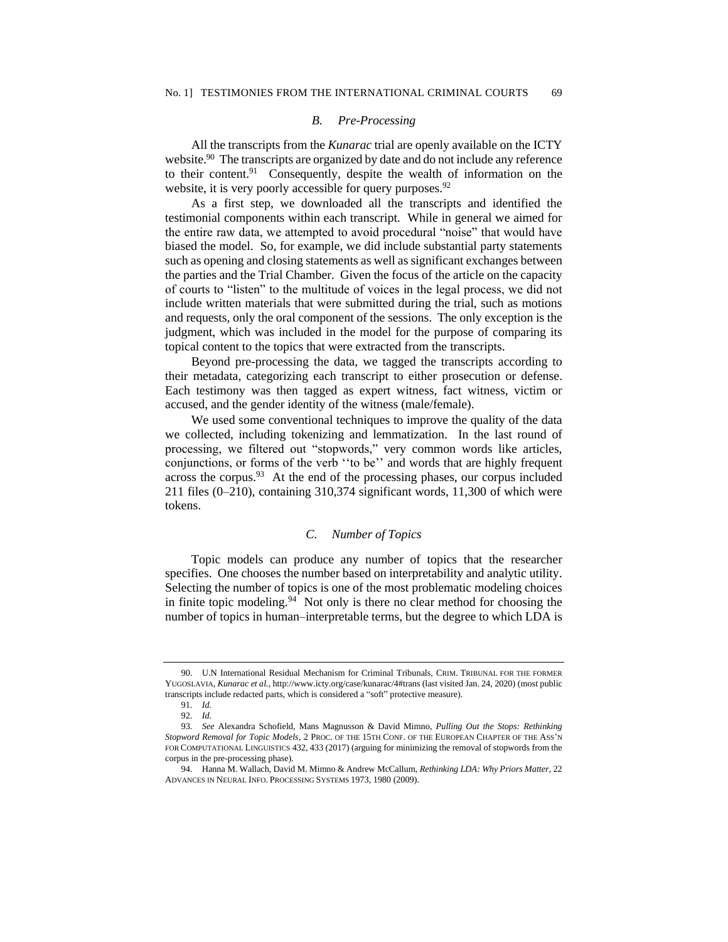### *B. Pre-Processing*

All the transcripts from the *Kunarac* trial are openly available on the ICTY website.<sup>90</sup> The transcripts are organized by date and do not include any reference to their content.<sup>91</sup> Consequently, despite the wealth of information on the website, it is very poorly accessible for query purposes.<sup>92</sup>

As a first step, we downloaded all the transcripts and identified the testimonial components within each transcript. While in general we aimed for the entire raw data, we attempted to avoid procedural "noise" that would have biased the model. So, for example, we did include substantial party statements such as opening and closing statements as well as significant exchanges between the parties and the Trial Chamber. Given the focus of the article on the capacity of courts to "listen" to the multitude of voices in the legal process, we did not include written materials that were submitted during the trial, such as motions and requests, only the oral component of the sessions. The only exception is the judgment, which was included in the model for the purpose of comparing its topical content to the topics that were extracted from the transcripts.

Beyond pre-processing the data, we tagged the transcripts according to their metadata, categorizing each transcript to either prosecution or defense. Each testimony was then tagged as expert witness, fact witness, victim or accused, and the gender identity of the witness (male/female).

We used some conventional techniques to improve the quality of the data we collected, including tokenizing and lemmatization. In the last round of processing, we filtered out "stopwords," very common words like articles, conjunctions, or forms of the verb ''to be'' and words that are highly frequent across the corpus.<sup>93</sup> At the end of the processing phases, our corpus included 211 files (0–210), containing 310,374 significant words, 11,300 of which were tokens.

## *C. Number of Topics*

Topic models can produce any number of topics that the researcher specifies. One chooses the number based on interpretability and analytic utility. Selecting the number of topics is one of the most problematic modeling choices in finite topic modeling.<sup>94</sup> Not only is there no clear method for choosing the number of topics in human–interpretable terms, but the degree to which LDA is

<sup>90.</sup> U.N International Residual Mechanism for Criminal Tribunals, CRIM. TRIBUNAL FOR THE FORMER YUGOSLAVIA, *Kunarac et al.*, http://www.icty.org/case/kunarac/4#trans (last visited Jan. 24, 2020) (most public transcripts include redacted parts, which is considered a "soft" protective measure).

<sup>91</sup>*. Id.*

<sup>92</sup>*. Id.*

<sup>93</sup>*. See* Alexandra Schofield, Mans Magnusson & David Mimno, *Pulling Out the Stops: Rethinking Stopword Removal for Topic Models*, 2 PROC. OF THE 15TH CONF. OF THE EUROPEAN CHAPTER OF THE ASS'N FOR COMPUTATIONAL LINGUISTICS 432, 433 (2017) (arguing for minimizing the removal of stopwords from the corpus in the pre-processing phase).

<sup>94.</sup> Hanna M. Wallach, David M. Mimno & Andrew McCallum, *Rethinking LDA: Why Priors Matter*, 22 ADVANCES IN NEURAL INFO. PROCESSING SYSTEMS 1973, 1980 (2009).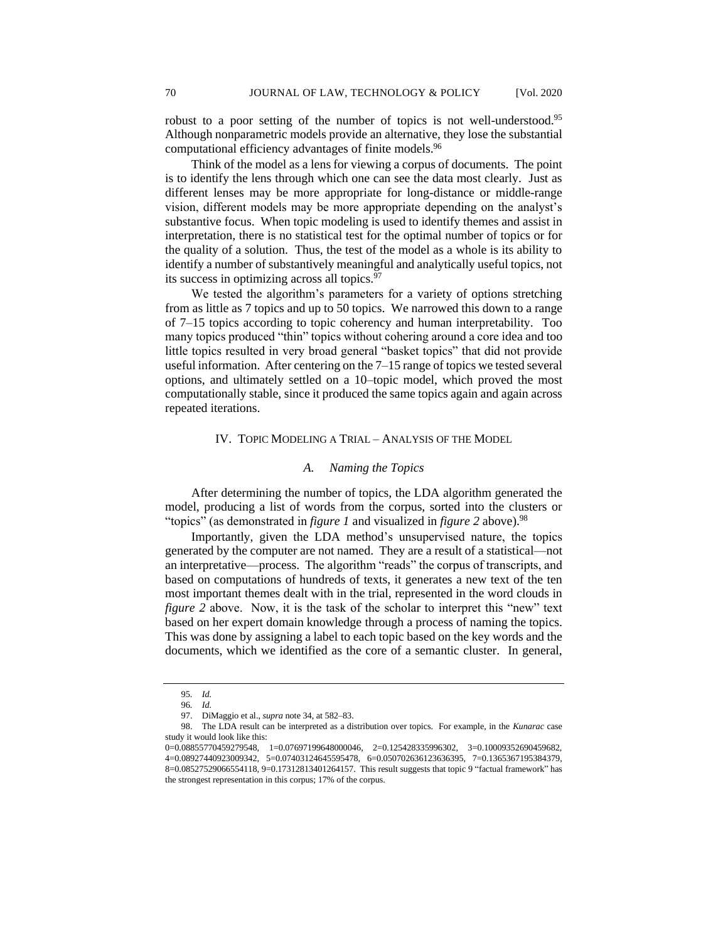robust to a poor setting of the number of topics is not well-understood.<sup>95</sup> Although nonparametric models provide an alternative, they lose the substantial computational efficiency advantages of finite models.<sup>96</sup>

Think of the model as a lens for viewing a corpus of documents. The point is to identify the lens through which one can see the data most clearly. Just as different lenses may be more appropriate for long-distance or middle-range vision, different models may be more appropriate depending on the analyst's substantive focus. When topic modeling is used to identify themes and assist in interpretation, there is no statistical test for the optimal number of topics or for the quality of a solution. Thus, the test of the model as a whole is its ability to identify a number of substantively meaningful and analytically useful topics, not its success in optimizing across all topics.<sup>97</sup>

We tested the algorithm's parameters for a variety of options stretching from as little as 7 topics and up to 50 topics. We narrowed this down to a range of 7–15 topics according to topic coherency and human interpretability. Too many topics produced "thin" topics without cohering around a core idea and too little topics resulted in very broad general "basket topics" that did not provide useful information. After centering on the 7–15 range of topics we tested several options, and ultimately settled on a 10–topic model, which proved the most computationally stable, since it produced the same topics again and again across repeated iterations.

## IV. TOPIC MODELING A TRIAL – ANALYSIS OF THE MODEL

#### *A. Naming the Topics*

After determining the number of topics, the LDA algorithm generated the model, producing a list of words from the corpus, sorted into the clusters or "topics" (as demonstrated in *figure 1* and visualized in *figure 2* above).<sup>98</sup>

Importantly, given the LDA method's unsupervised nature, the topics generated by the computer are not named. They are a result of a statistical—not an interpretative—process. The algorithm "reads" the corpus of transcripts, and based on computations of hundreds of texts, it generates a new text of the ten most important themes dealt with in the trial, represented in the word clouds in *figure 2* above. Now, it is the task of the scholar to interpret this "new" text based on her expert domain knowledge through a process of naming the topics. This was done by assigning a label to each topic based on the key words and the documents, which we identified as the core of a semantic cluster. In general,

<sup>95</sup>*. Id.*

<sup>96</sup>*. Id.*

<sup>97.</sup> DiMaggio et al., *supra* note 34, at 582–83.

<sup>98.</sup> The LDA result can be interpreted as a distribution over topics. For example, in the *Kunarac* case study it would look like this:

<sup>0=0.08855770459279548, 1=0.07697199648000046, 2=0.125428335996302, 3=0.10009352690459682,</sup>  4=0.08927440923009342, 5=0.07403124645595478, 6=0.050702636123636395, 7=0.1365367195384379, 8=0.08527529066554118, 9=0.17312813401264157. This result suggests that topic 9 "factual framework" has the strongest representation in this corpus; 17% of the corpus.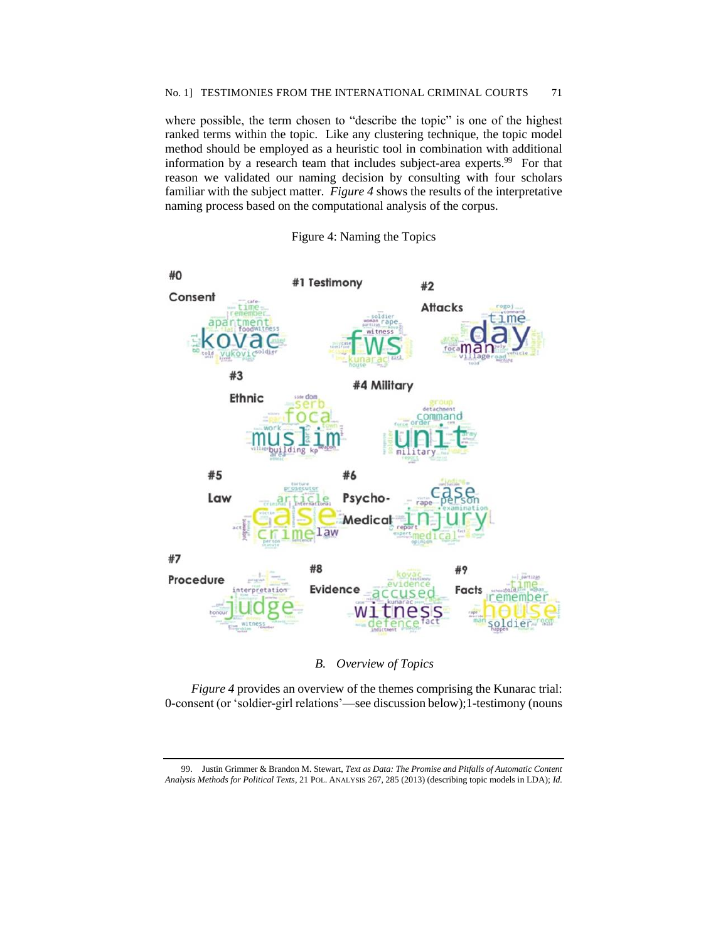where possible, the term chosen to "describe the topic" is one of the highest ranked terms within the topic. Like any clustering technique, the topic model method should be employed as a heuristic tool in combination with additional information by a research team that includes subject-area experts.<sup>99</sup> For that reason we validated our naming decision by consulting with four scholars familiar with the subject matter. *Figure 4* shows the results of the interpretative naming process based on the computational analysis of the corpus.





# *B. Overview of Topics*

*Figure 4* provides an overview of the themes comprising the Kunarac trial: 0-consent (or 'soldier-girl relations'—see discussion below);1-testimony (nouns

<sup>99.</sup> Justin Grimmer & Brandon M. Stewart, *Text as Data: The Promise and Pitfalls of Automatic Content Analysis Methods for Political Texts*, 21 POL. ANALYSIS 267, 285 (2013) (describing topic models in LDA); *Id.*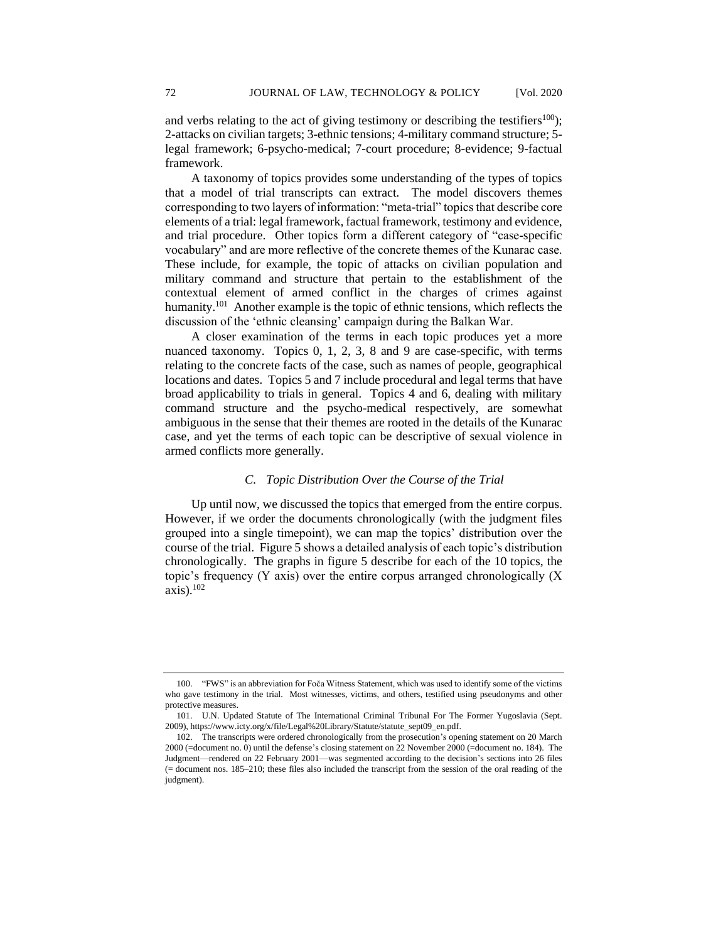and verbs relating to the act of giving testimony or describing the testifiers<sup>100</sup>); 2-attacks on civilian targets; 3-ethnic tensions; 4-military command structure; 5 legal framework; 6-psycho-medical; 7-court procedure; 8-evidence; 9-factual framework.

A taxonomy of topics provides some understanding of the types of topics that a model of trial transcripts can extract. The model discovers themes corresponding to two layers of information: "meta-trial" topics that describe core elements of a trial: legal framework, factual framework, testimony and evidence, and trial procedure. Other topics form a different category of "case-specific vocabulary" and are more reflective of the concrete themes of the Kunarac case. These include, for example, the topic of attacks on civilian population and military command and structure that pertain to the establishment of the contextual element of armed conflict in the charges of crimes against humanity.<sup>101</sup> Another example is the topic of ethnic tensions, which reflects the discussion of the 'ethnic cleansing' campaign during the Balkan War.

A closer examination of the terms in each topic produces yet a more nuanced taxonomy. Topics 0, 1, 2, 3, 8 and 9 are case-specific, with terms relating to the concrete facts of the case, such as names of people, geographical locations and dates. Topics 5 and 7 include procedural and legal terms that have broad applicability to trials in general. Topics 4 and 6, dealing with military command structure and the psycho-medical respectively, are somewhat ambiguous in the sense that their themes are rooted in the details of the Kunarac case, and yet the terms of each topic can be descriptive of sexual violence in armed conflicts more generally.

## *C. Topic Distribution Over the Course of the Trial*

Up until now, we discussed the topics that emerged from the entire corpus. However, if we order the documents chronologically (with the judgment files grouped into a single timepoint), we can map the topics' distribution over the course of the trial. Figure 5 shows a detailed analysis of each topic's distribution chronologically. The graphs in figure 5 describe for each of the 10 topics, the topic's frequency (Y axis) over the entire corpus arranged chronologically (X axis).<sup>102</sup>

<sup>100.</sup> "FWS" is an abbreviation for Foča Witness Statement, which was used to identify some of the victims who gave testimony in the trial. Most witnesses, victims, and others, testified using pseudonyms and other protective measures.

<sup>101.</sup> U.N. Updated Statute of The International Criminal Tribunal For The Former Yugoslavia (Sept. 2009), https://www.icty.org/x/file/Legal%20Library/Statute/statute\_sept09\_en.pdf.

<sup>102.</sup> The transcripts were ordered chronologically from the prosecution's opening statement on 20 March 2000 (=document no. 0) until the defense's closing statement on 22 November 2000 (=document no. 184). The Judgment—rendered on 22 February 2001—was segmented according to the decision's sections into 26 files (= document nos. 185–210; these files also included the transcript from the session of the oral reading of the judgment).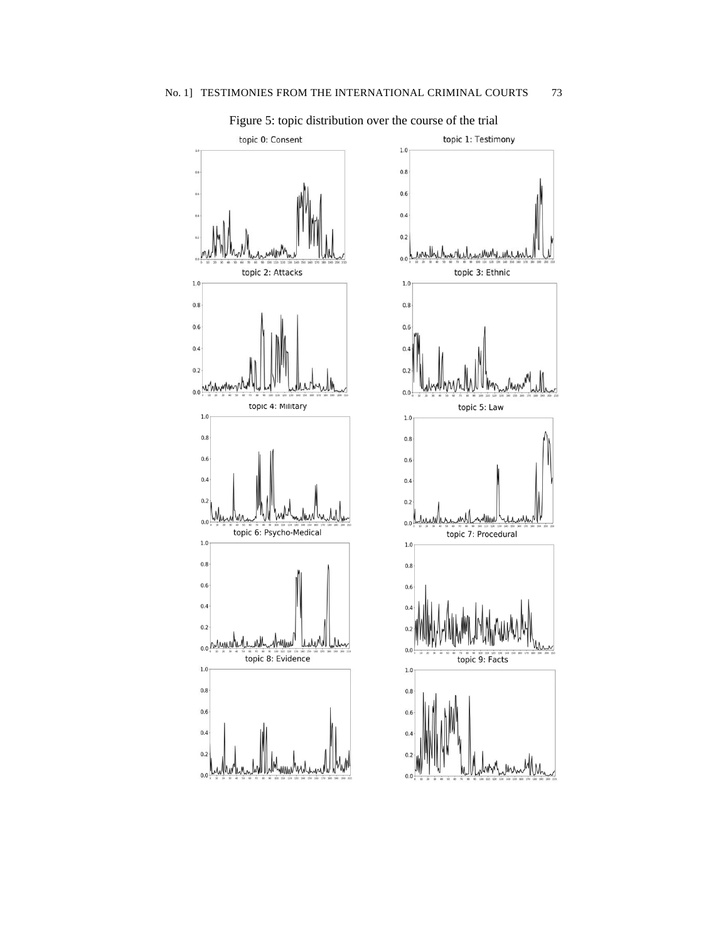

Figure 5: topic distribution over the course of the trial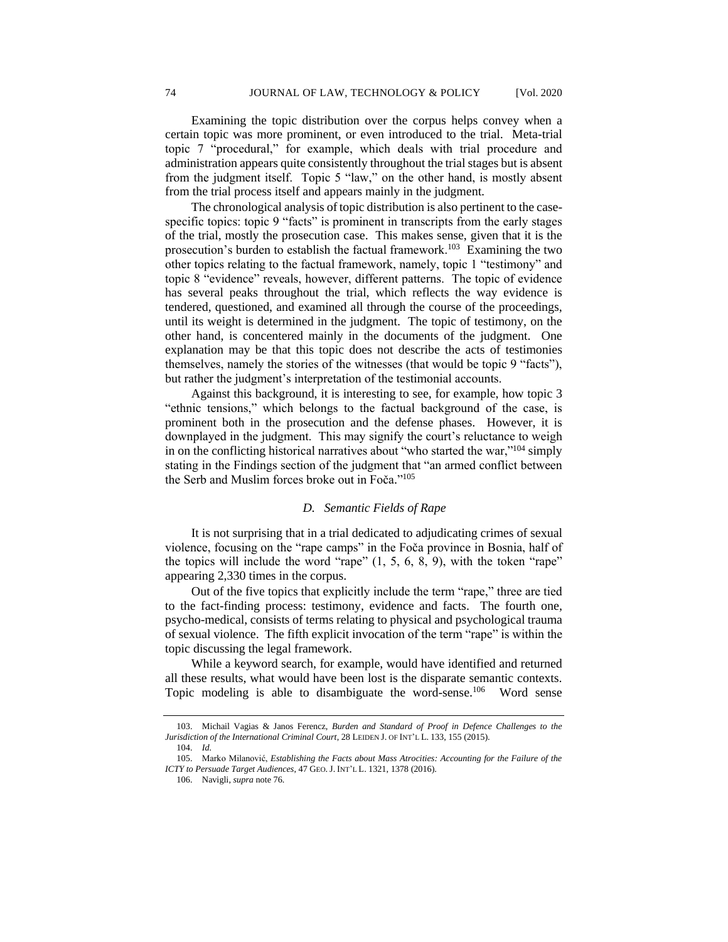Examining the topic distribution over the corpus helps convey when a certain topic was more prominent, or even introduced to the trial. Meta-trial topic 7 "procedural," for example, which deals with trial procedure and administration appears quite consistently throughout the trial stages but is absent from the judgment itself. Topic 5 "law," on the other hand, is mostly absent from the trial process itself and appears mainly in the judgment.

The chronological analysis of topic distribution is also pertinent to the casespecific topics: topic 9 "facts" is prominent in transcripts from the early stages of the trial, mostly the prosecution case. This makes sense, given that it is the prosecution's burden to establish the factual framework.<sup>103</sup> Examining the two other topics relating to the factual framework, namely, topic 1 "testimony" and topic 8 "evidence" reveals, however, different patterns. The topic of evidence has several peaks throughout the trial, which reflects the way evidence is tendered, questioned, and examined all through the course of the proceedings, until its weight is determined in the judgment. The topic of testimony, on the other hand, is concentered mainly in the documents of the judgment. One explanation may be that this topic does not describe the acts of testimonies themselves, namely the stories of the witnesses (that would be topic 9 "facts"), but rather the judgment's interpretation of the testimonial accounts.

Against this background, it is interesting to see, for example, how topic 3 "ethnic tensions," which belongs to the factual background of the case, is prominent both in the prosecution and the defense phases. However, it is downplayed in the judgment. This may signify the court's reluctance to weigh in on the conflicting historical narratives about "who started the war,"<sup>104</sup> simply stating in the Findings section of the judgment that "an armed conflict between the Serb and Muslim forces broke out in Foča." 105

### *D. Semantic Fields of Rape*

It is not surprising that in a trial dedicated to adjudicating crimes of sexual violence, focusing on the "rape camps" in the Foča province in Bosnia, half of the topics will include the word "rape"  $(1, 5, 6, 8, 9)$ , with the token "rape" appearing 2,330 times in the corpus.

Out of the five topics that explicitly include the term "rape," three are tied to the fact-finding process: testimony, evidence and facts. The fourth one, psycho-medical, consists of terms relating to physical and psychological trauma of sexual violence. The fifth explicit invocation of the term "rape" is within the topic discussing the legal framework.

While a keyword search, for example, would have identified and returned all these results, what would have been lost is the disparate semantic contexts. Topic modeling is able to disambiguate the word-sense.<sup>106</sup> Word sense

<sup>103.</sup> Michail Vagias & Janos Ferencz, *Burden and Standard of Proof in Defence Challenges to the Jurisdiction of the International Criminal Court*, 28 LEIDEN J. OF INT'L L. 133, 155 (2015).

<sup>104.</sup> *Id.*

<sup>105.</sup> Marko Milanović, *Establishing the Facts about Mass Atrocities: Accounting for the Failure of the ICTY to Persuade Target Audiences*, 47 GEO.J. INT'L L. 1321, 1378 (2016).

<sup>106.</sup> Navigli, *supra* note 76.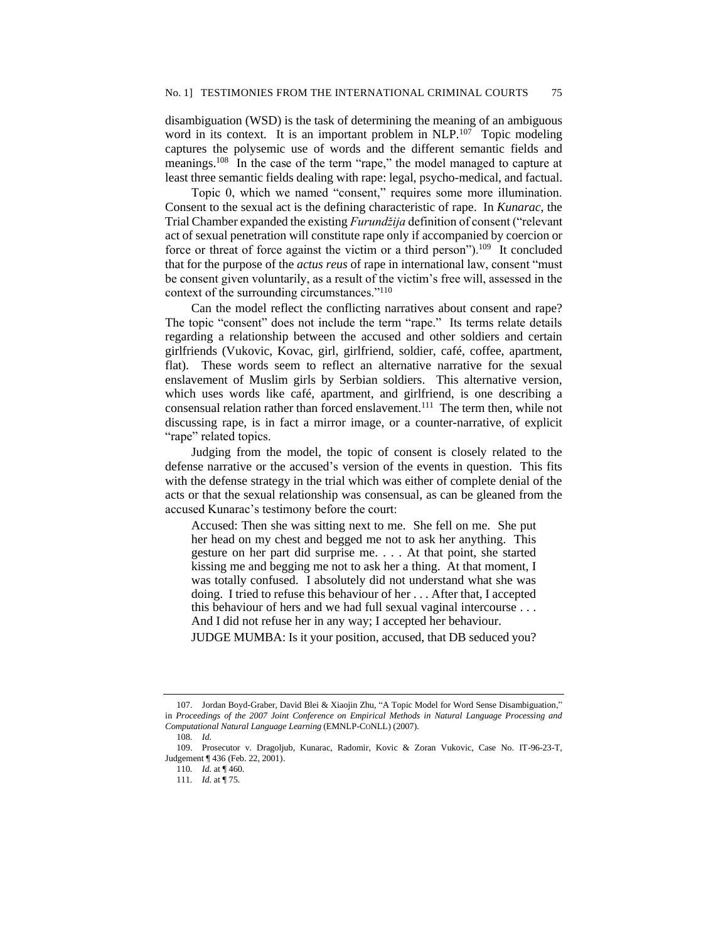disambiguation (WSD) is the task of determining the meaning of an ambiguous word in its context. It is an important problem in NLP.<sup>107</sup> Topic modeling captures the polysemic use of words and the different semantic fields and meanings.<sup>108</sup> In the case of the term "rape," the model managed to capture at least three semantic fields dealing with rape: legal, psycho-medical, and factual.

Topic 0, which we named "consent," requires some more illumination. Consent to the sexual act is the defining characteristic of rape. In *Kunarac*, the Trial Chamber expanded the existing *Furundžija* definition of consent ("relevant act of sexual penetration will constitute rape only if accompanied by coercion or force or threat of force against the victim or a third person").<sup>109</sup> It concluded that for the purpose of the *actus reus* of rape in international law, consent "must be consent given voluntarily, as a result of the victim's free will, assessed in the context of the surrounding circumstances."<sup>110</sup>

Can the model reflect the conflicting narratives about consent and rape? The topic "consent" does not include the term "rape." Its terms relate details regarding a relationship between the accused and other soldiers and certain girlfriends (Vukovic, Kovac, girl, girlfriend, soldier, café, coffee, apartment, flat). These words seem to reflect an alternative narrative for the sexual enslavement of Muslim girls by Serbian soldiers. This alternative version, which uses words like café, apartment, and girlfriend, is one describing a consensual relation rather than forced enslavement.<sup>111</sup> The term then, while not discussing rape, is in fact a mirror image, or a counter-narrative, of explicit "rape" related topics.

Judging from the model, the topic of consent is closely related to the defense narrative or the accused's version of the events in question. This fits with the defense strategy in the trial which was either of complete denial of the acts or that the sexual relationship was consensual, as can be gleaned from the accused Kunarac's testimony before the court:

Accused: Then she was sitting next to me. She fell on me. She put her head on my chest and begged me not to ask her anything. This gesture on her part did surprise me. . . . At that point, she started kissing me and begging me not to ask her a thing. At that moment, I was totally confused. I absolutely did not understand what she was doing. I tried to refuse this behaviour of her . . . After that, I accepted this behaviour of hers and we had full sexual vaginal intercourse . . . And I did not refuse her in any way; I accepted her behaviour.

JUDGE MUMBA: Is it your position, accused, that DB seduced you?

<sup>107.</sup> Jordan Boyd-Graber, David Blei & Xiaojin Zhu, "A Topic Model for Word Sense Disambiguation," in *Proceedings of the 2007 Joint Conference on Empirical Methods in Natural Language Processing and Computational Natural Language Learning* (EMNLP-CONLL) (2007).

<sup>108</sup>*. Id.*

<sup>109.</sup> Prosecutor v. Dragoljub, Kunarac, Radomir, Kovic & Zoran Vukovic, Case No. IT-96-23-T, Judgement ¶ 436 (Feb. 22, 2001).

<sup>110</sup>*. Id.* at ¶ 460.

<sup>111</sup>*. Id.* at ¶ 75.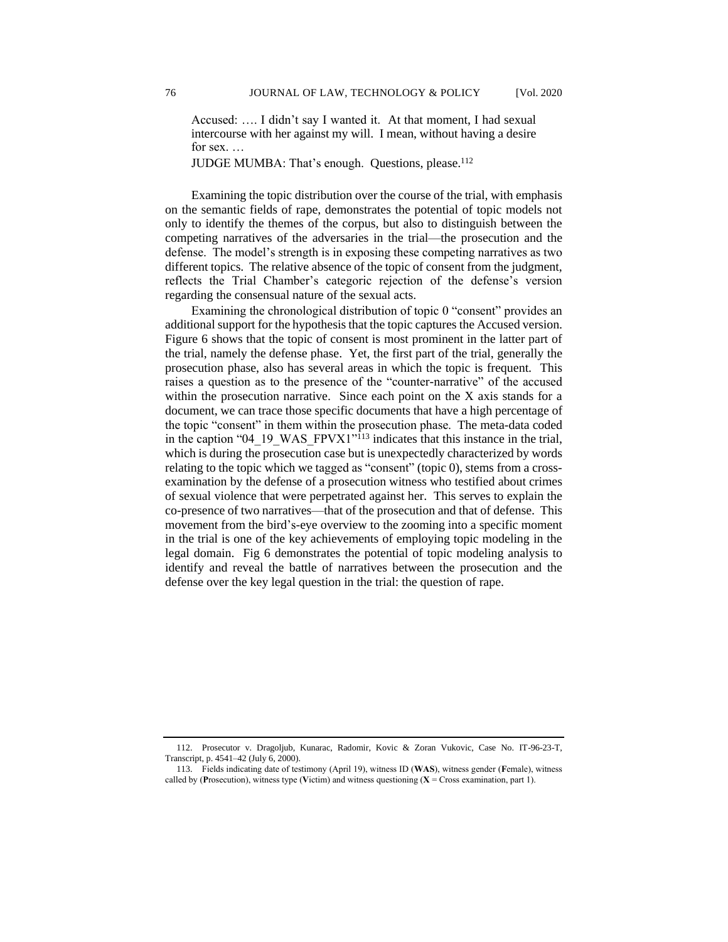Accused: …. I didn't say I wanted it. At that moment, I had sexual intercourse with her against my will. I mean, without having a desire for sex. …

JUDGE MUMBA: That's enough. Questions, please.<sup>112</sup>

Examining the topic distribution over the course of the trial, with emphasis on the semantic fields of rape, demonstrates the potential of topic models not only to identify the themes of the corpus, but also to distinguish between the competing narratives of the adversaries in the trial—the prosecution and the defense. The model's strength is in exposing these competing narratives as two different topics. The relative absence of the topic of consent from the judgment, reflects the Trial Chamber's categoric rejection of the defense's version regarding the consensual nature of the sexual acts.

Examining the chronological distribution of topic 0 "consent" provides an additional support for the hypothesis that the topic captures the Accused version. Figure 6 shows that the topic of consent is most prominent in the latter part of the trial, namely the defense phase. Yet, the first part of the trial, generally the prosecution phase, also has several areas in which the topic is frequent. This raises a question as to the presence of the "counter-narrative" of the accused within the prosecution narrative. Since each point on the X axis stands for a document, we can trace those specific documents that have a high percentage of the topic "consent" in them within the prosecution phase. The meta-data coded in the caption "04\_19\_WAS\_FPVX1"<sup>113</sup> indicates that this instance in the trial, which is during the prosecution case but is unexpectedly characterized by words relating to the topic which we tagged as "consent" (topic 0), stems from a crossexamination by the defense of a prosecution witness who testified about crimes of sexual violence that were perpetrated against her. This serves to explain the co-presence of two narratives—that of the prosecution and that of defense. This movement from the bird's-eye overview to the zooming into a specific moment in the trial is one of the key achievements of employing topic modeling in the legal domain. Fig 6 demonstrates the potential of topic modeling analysis to identify and reveal the battle of narratives between the prosecution and the defense over the key legal question in the trial: the question of rape.

<sup>112.</sup> Prosecutor v. Dragoljub, Kunarac, Radomir, Kovic & Zoran Vukovic, Case No. IT-96-23-T, Transcript, p. 4541–42 (July 6, 2000).

<sup>113.</sup> Fields indicating date of testimony (April 19), witness ID (**WAS**), witness gender (**F**emale), witness called by (**Prosecution**), witness type (**V**ictim) and witness questioning  $(X = Cross$  examination, part 1).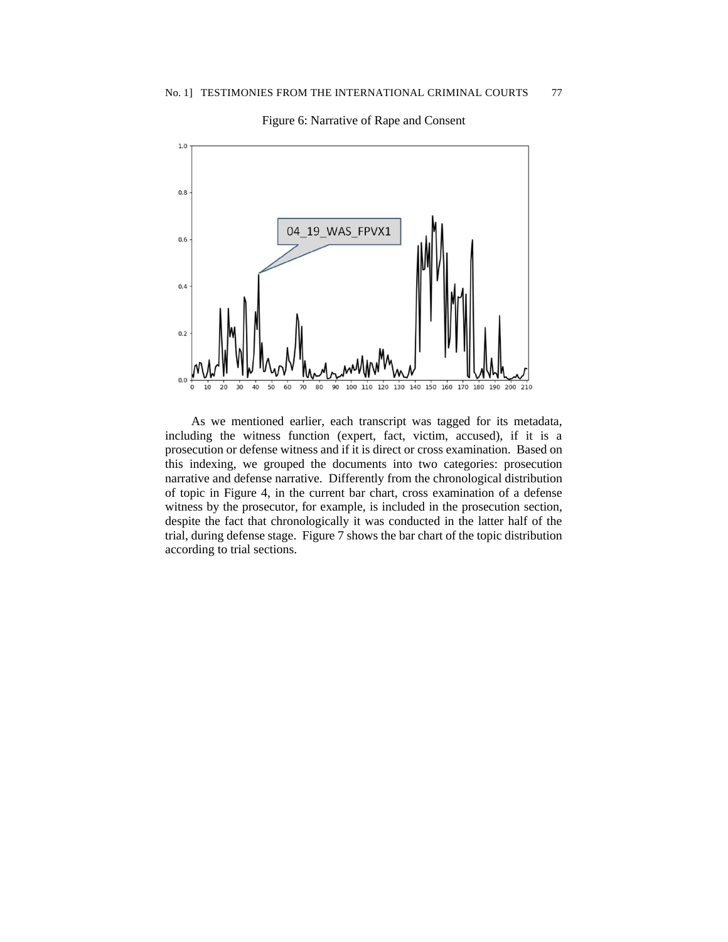

Figure 6: Narrative of Rape and Consent

As we mentioned earlier, each transcript was tagged for its metadata, including the witness function (expert, fact, victim, accused), if it is a prosecution or defense witness and if it is direct or cross examination. Based on this indexing, we grouped the documents into two categories: prosecution narrative and defense narrative. Differently from the chronological distribution of topic in Figure 4, in the current bar chart, cross examination of a defense witness by the prosecutor, for example, is included in the prosecution section, despite the fact that chronologically it was conducted in the latter half of the trial, during defense stage. Figure 7 shows the bar chart of the topic distribution according to trial sections.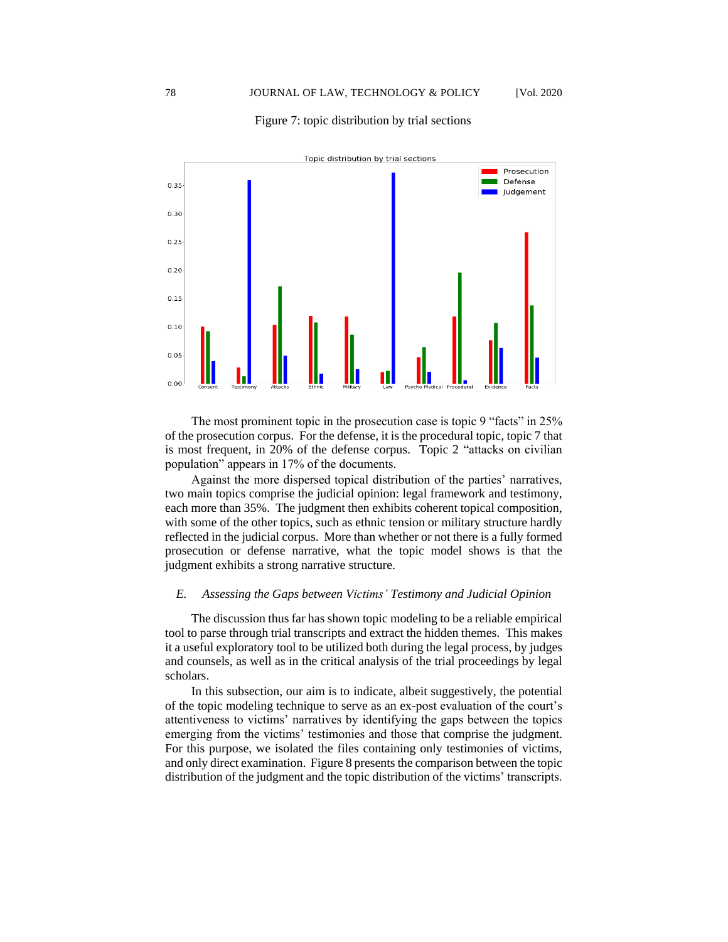#### Figure 7: topic distribution by trial sections



The most prominent topic in the prosecution case is topic 9 "facts" in 25% of the prosecution corpus. For the defense, it is the procedural topic, topic 7 that is most frequent, in 20% of the defense corpus. Topic 2 "attacks on civilian population" appears in 17% of the documents.

Against the more dispersed topical distribution of the parties' narratives, two main topics comprise the judicial opinion: legal framework and testimony, each more than 35%. The judgment then exhibits coherent topical composition, with some of the other topics, such as ethnic tension or military structure hardly reflected in the judicial corpus. More than whether or not there is a fully formed prosecution or defense narrative, what the topic model shows is that the judgment exhibits a strong narrative structure.

## *E. Assessing the Gaps between Victims' Testimony and Judicial Opinion*

The discussion thus far has shown topic modeling to be a reliable empirical tool to parse through trial transcripts and extract the hidden themes. This makes it a useful exploratory tool to be utilized both during the legal process, by judges and counsels, as well as in the critical analysis of the trial proceedings by legal scholars.

In this subsection, our aim is to indicate, albeit suggestively, the potential of the topic modeling technique to serve as an ex-post evaluation of the court's attentiveness to victims' narratives by identifying the gaps between the topics emerging from the victims' testimonies and those that comprise the judgment. For this purpose, we isolated the files containing only testimonies of victims, and only direct examination. Figure 8 presents the comparison between the topic distribution of the judgment and the topic distribution of the victims' transcripts.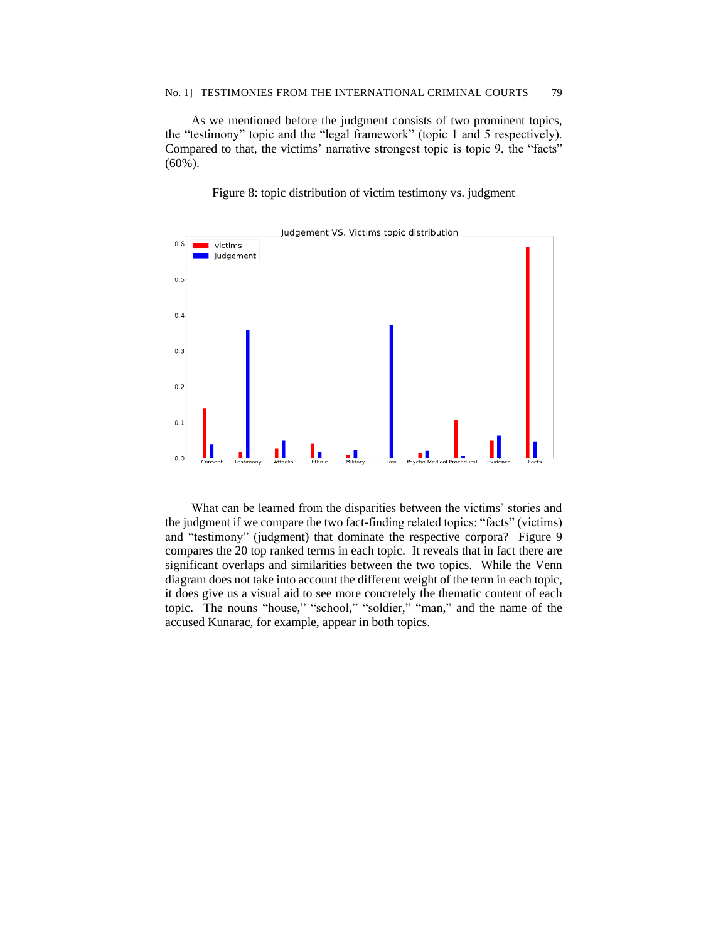As we mentioned before the judgment consists of two prominent topics, the "testimony" topic and the "legal framework" (topic 1 and 5 respectively). Compared to that, the victims' narrative strongest topic is topic 9, the "facts" (60%).

Figure 8: topic distribution of victim testimony vs. judgment



What can be learned from the disparities between the victims' stories and the judgment if we compare the two fact-finding related topics: "facts" (victims) and "testimony" (judgment) that dominate the respective corpora? Figure 9 compares the 20 top ranked terms in each topic. It reveals that in fact there are significant overlaps and similarities between the two topics. While the Venn diagram does not take into account the different weight of the term in each topic, it does give us a visual aid to see more concretely the thematic content of each topic. The nouns "house," "school," "soldier," "man," and the name of the accused Kunarac, for example, appear in both topics.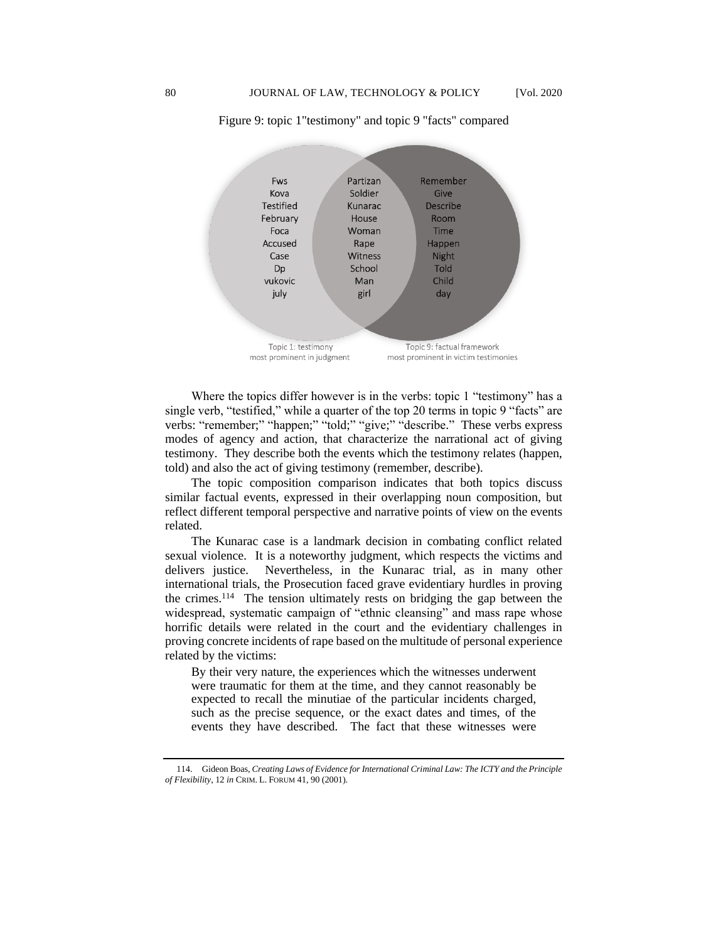

Figure 9: topic 1"testimony" and topic 9 "facts" compared

Where the topics differ however is in the verbs: topic 1 "testimony" has a single verb, "testified," while a quarter of the top 20 terms in topic 9 "facts" are verbs: "remember;" "happen;" "told;" "give;" "describe." These verbs express modes of agency and action, that characterize the narrational act of giving testimony. They describe both the events which the testimony relates (happen, told) and also the act of giving testimony (remember, describe).

The topic composition comparison indicates that both topics discuss similar factual events, expressed in their overlapping noun composition, but reflect different temporal perspective and narrative points of view on the events related.

The Kunarac case is a landmark decision in combating conflict related sexual violence. It is a noteworthy judgment, which respects the victims and delivers justice. Nevertheless, in the Kunarac trial, as in many other international trials, the Prosecution faced grave evidentiary hurdles in proving the crimes.<sup>114</sup> The tension ultimately rests on bridging the gap between the widespread, systematic campaign of "ethnic cleansing" and mass rape whose horrific details were related in the court and the evidentiary challenges in proving concrete incidents of rape based on the multitude of personal experience related by the victims:

By their very nature, the experiences which the witnesses underwent were traumatic for them at the time, and they cannot reasonably be expected to recall the minutiae of the particular incidents charged, such as the precise sequence, or the exact dates and times, of the events they have described. The fact that these witnesses were

<sup>114.</sup> Gideon Boas, *Creating Laws of Evidence for International Criminal Law: The ICTY and the Principle of Flexibility*, 12 *in* CRIM. L. FORUM 41, 90 (2001).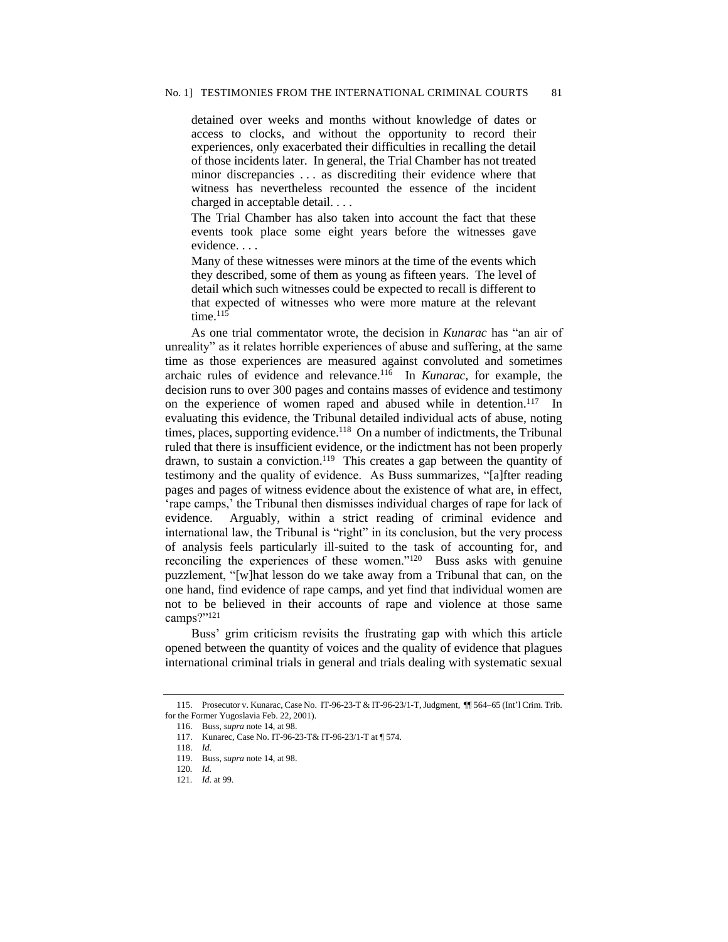detained over weeks and months without knowledge of dates or access to clocks, and without the opportunity to record their experiences, only exacerbated their difficulties in recalling the detail of those incidents later. In general, the Trial Chamber has not treated minor discrepancies . . . as discrediting their evidence where that witness has nevertheless recounted the essence of the incident charged in acceptable detail. . . .

The Trial Chamber has also taken into account the fact that these events took place some eight years before the witnesses gave evidence. . . .

Many of these witnesses were minors at the time of the events which they described, some of them as young as fifteen years. The level of detail which such witnesses could be expected to recall is different to that expected of witnesses who were more mature at the relevant time. $115$ 

As one trial commentator wrote, the decision in *Kunarac* has "an air of unreality" as it relates horrible experiences of abuse and suffering, at the same time as those experiences are measured against convoluted and sometimes archaic rules of evidence and relevance.<sup>116</sup> In *Kunarac*, for example, the decision runs to over 300 pages and contains masses of evidence and testimony on the experience of women raped and abused while in detention.<sup>117</sup> In evaluating this evidence, the Tribunal detailed individual acts of abuse, noting times, places, supporting evidence.<sup>118</sup> On a number of indictments, the Tribunal ruled that there is insufficient evidence, or the indictment has not been properly drawn, to sustain a conviction.<sup>119</sup> This creates a gap between the quantity of testimony and the quality of evidence. As Buss summarizes, "[a]fter reading pages and pages of witness evidence about the existence of what are, in effect, 'rape camps,' the Tribunal then dismisses individual charges of rape for lack of evidence. Arguably, within a strict reading of criminal evidence and international law, the Tribunal is "right" in its conclusion, but the very process of analysis feels particularly ill-suited to the task of accounting for, and reconciling the experiences of these women."<sup>120</sup> Buss asks with genuine puzzlement, "[w]hat lesson do we take away from a Tribunal that can, on the one hand, find evidence of rape camps, and yet find that individual women are not to be believed in their accounts of rape and violence at those same camps?"<sup>121</sup>

Buss' grim criticism revisits the frustrating gap with which this article opened between the quantity of voices and the quality of evidence that plagues international criminal trials in general and trials dealing with systematic sexual

<sup>115.</sup> Prosecutor v. Kunarac, Case No. IT-96-23-T & IT-96-23/1-T, Judgment, ¶¶ 564–65 (Int'l Crim. Trib. for the Former Yugoslavia Feb. 22, 2001).

<sup>116.</sup> Buss, *supra* note 14, at 98.

<sup>117.</sup> Kunarec, Case No. IT-96-23-T& IT-96-23/1-T at ¶ 574.

<sup>118.</sup> *Id.*

<sup>119.</sup> Buss, *supra* note 14, at 98.

<sup>120</sup>*. Id.*

<sup>121</sup>*. Id.* at 99.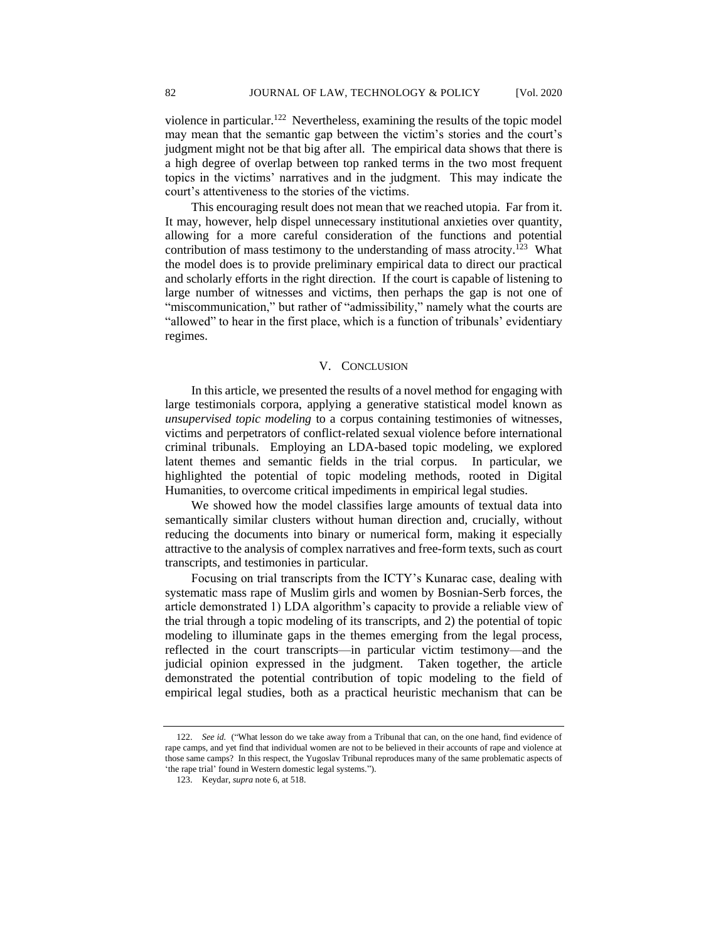violence in particular.<sup>122</sup> Nevertheless, examining the results of the topic model may mean that the semantic gap between the victim's stories and the court's judgment might not be that big after all. The empirical data shows that there is a high degree of overlap between top ranked terms in the two most frequent topics in the victims' narratives and in the judgment. This may indicate the court's attentiveness to the stories of the victims.

This encouraging result does not mean that we reached utopia. Far from it. It may, however, help dispel unnecessary institutional anxieties over quantity, allowing for a more careful consideration of the functions and potential contribution of mass testimony to the understanding of mass atrocity.<sup>123</sup> What the model does is to provide preliminary empirical data to direct our practical and scholarly efforts in the right direction. If the court is capable of listening to large number of witnesses and victims, then perhaps the gap is not one of "miscommunication," but rather of "admissibility," namely what the courts are "allowed" to hear in the first place, which is a function of tribunals' evidentiary regimes.

## V. CONCLUSION

In this article, we presented the results of a novel method for engaging with large testimonials corpora, applying a generative statistical model known as *unsupervised topic modeling* to a corpus containing testimonies of witnesses, victims and perpetrators of conflict-related sexual violence before international criminal tribunals. Employing an LDA-based topic modeling, we explored latent themes and semantic fields in the trial corpus. In particular, we highlighted the potential of topic modeling methods, rooted in Digital Humanities, to overcome critical impediments in empirical legal studies.

We showed how the model classifies large amounts of textual data into semantically similar clusters without human direction and, crucially, without reducing the documents into binary or numerical form, making it especially attractive to the analysis of complex narratives and free-form texts, such as court transcripts, and testimonies in particular.

Focusing on trial transcripts from the ICTY's Kunarac case, dealing with systematic mass rape of Muslim girls and women by Bosnian-Serb forces, the article demonstrated 1) LDA algorithm's capacity to provide a reliable view of the trial through a topic modeling of its transcripts, and 2) the potential of topic modeling to illuminate gaps in the themes emerging from the legal process, reflected in the court transcripts—in particular victim testimony—and the judicial opinion expressed in the judgment. Taken together, the article demonstrated the potential contribution of topic modeling to the field of empirical legal studies, both as a practical heuristic mechanism that can be

<sup>122.</sup> *See id.* ("What lesson do we take away from a Tribunal that can, on the one hand, find evidence of rape camps, and yet find that individual women are not to be believed in their accounts of rape and violence at those same camps? In this respect, the Yugoslav Tribunal reproduces many of the same problematic aspects of 'the rape trial' found in Western domestic legal systems.").

<sup>123.</sup> Keydar, *supra* note 6, at 518.